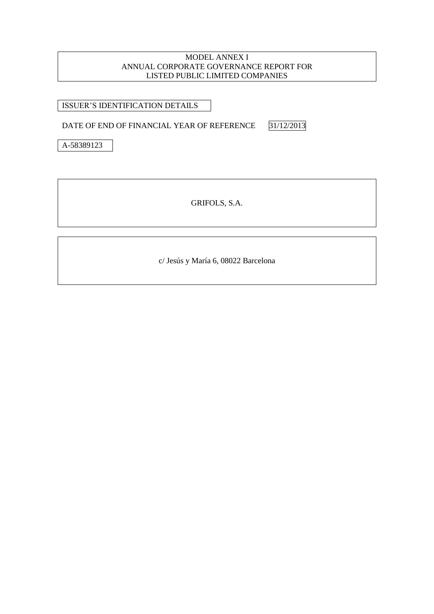#### MODEL ANNEX I ANNUAL CORPORATE GOVERNANCE REPORT FOR LISTED PUBLIC LIMITED COMPANIES

ISSUER'S IDENTIFICATION DETAILS

DATE OF END OF FINANCIAL YEAR OF REFERENCE 31/12/2013

A-58389123

GRIFOLS, S.A.

c/ Jesús y María 6, 08022 Barcelona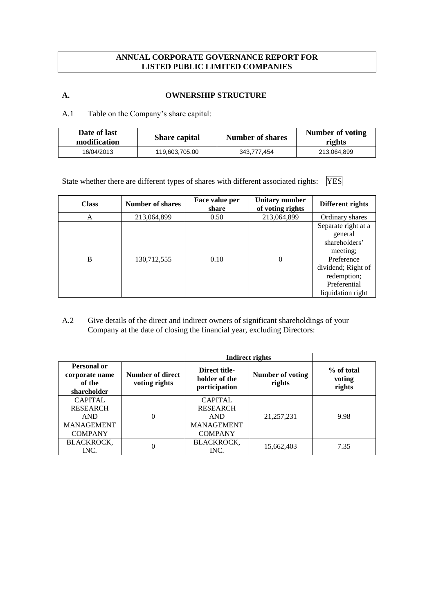# **ANNUAL CORPORATE GOVERNANCE REPORT FOR LISTED PUBLIC LIMITED COMPANIES**

### **A. OWNERSHIP STRUCTURE**

A.1 Table on the Company's share capital:

| Date of last<br>modification | <b>Share capital</b> | <b>Number of shares</b> | Number of voting<br>rights |
|------------------------------|----------------------|-------------------------|----------------------------|
| 16/04/2013                   | 119,603,705.00       | 343.777.454             | 213,064,899                |

State whether there are different types of shares with different associated rights: YES

| <b>Class</b> | <b>Number of shares</b> | Face value per<br>share | <b>Unitary number</b><br>of voting rights | Different rights                                                                                                                                    |
|--------------|-------------------------|-------------------------|-------------------------------------------|-----------------------------------------------------------------------------------------------------------------------------------------------------|
| А            | 213,064,899             | 0.50                    | 213,064,899                               | Ordinary shares                                                                                                                                     |
| B            | 130,712,555             | 0.10                    | $\theta$                                  | Separate right at a<br>general<br>shareholders'<br>meeting;<br>Preference<br>dividend; Right of<br>redemption;<br>Preferential<br>liquidation right |

# A.2 Give details of the direct and indirect owners of significant shareholdings of your Company at the date of closing the financial year, excluding Directors:

|                                                        |                                   |                                                 | <b>Indirect rights</b>     |                                |
|--------------------------------------------------------|-----------------------------------|-------------------------------------------------|----------------------------|--------------------------------|
| Personal or<br>corporate name<br>of the<br>shareholder | Number of direct<br>voting rights | Direct title-<br>holder of the<br>participation | Number of voting<br>rights | % of total<br>voting<br>rights |
| <b>CAPITAL</b>                                         |                                   | <b>CAPITAL</b>                                  |                            |                                |
| <b>RESEARCH</b><br><b>AND</b>                          | $\theta$                          | <b>RESEARCH</b><br><b>AND</b>                   | 21, 257, 231               | 9.98                           |
| <b>MANAGEMENT</b>                                      |                                   | <b>MANAGEMENT</b>                               |                            |                                |
| <b>COMPANY</b>                                         |                                   | <b>COMPANY</b>                                  |                            |                                |
| <b>BLACKROCK,</b><br>INC.                              | 0                                 | <b>BLACKROCK,</b><br>INC.                       | 15,662,403                 | 7.35                           |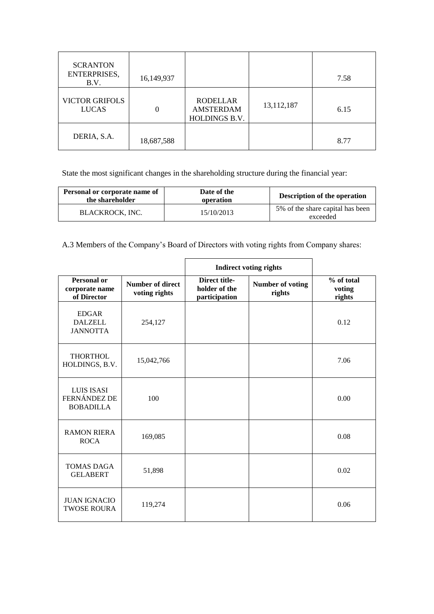| <b>SCRANTON</b><br>ENTERPRISES,<br>B.V. | 16,149,937 |                                                      |            | 7.58 |
|-----------------------------------------|------------|------------------------------------------------------|------------|------|
| <b>VICTOR GRIFOLS</b><br><b>LUCAS</b>   |            | <b>RODELLAR</b><br><b>AMSTERDAM</b><br>HOLDINGS B.V. | 13,112,187 | 6.15 |
| DERIA, S.A.                             | 18,687,588 |                                                      |            | 8.77 |

State the most significant changes in the shareholding structure during the financial year:

| Personal or corporate name of<br>the shareholder | Date of the<br>operation | <b>Description of the operation</b>          |
|--------------------------------------------------|--------------------------|----------------------------------------------|
| <b>BLACKROCK, INC.</b>                           | 15/10/2013               | 5% of the share capital has been<br>exceeded |

A.3 Members of the Company's Board of Directors with voting rights from Company shares:

|                                                       |                                   | <b>Indirect voting rights</b>                   |                            |                                |
|-------------------------------------------------------|-----------------------------------|-------------------------------------------------|----------------------------|--------------------------------|
| <b>Personal or</b><br>corporate name<br>of Director   | Number of direct<br>voting rights | Direct title-<br>holder of the<br>participation | Number of voting<br>rights | % of total<br>voting<br>rights |
| <b>EDGAR</b><br><b>DALZELL</b><br><b>JANNOTTA</b>     | 254,127                           |                                                 |                            | 0.12                           |
| <b>THORTHOL</b><br>HOLDINGS, B.V.                     | 15,042,766                        |                                                 |                            | 7.06                           |
| <b>LUIS ISASI</b><br>FERNÁNDEZ DE<br><b>BOBADILLA</b> | 100                               |                                                 |                            | 0.00                           |
| <b>RAMON RIERA</b><br><b>ROCA</b>                     | 169,085                           |                                                 |                            | 0.08                           |
| <b>TOMAS DAGA</b><br><b>GELABERT</b>                  | 51,898                            |                                                 |                            | 0.02                           |
| <b>JUAN IGNACIO</b><br><b>TWOSE ROURA</b>             | 119,274                           |                                                 |                            | 0.06                           |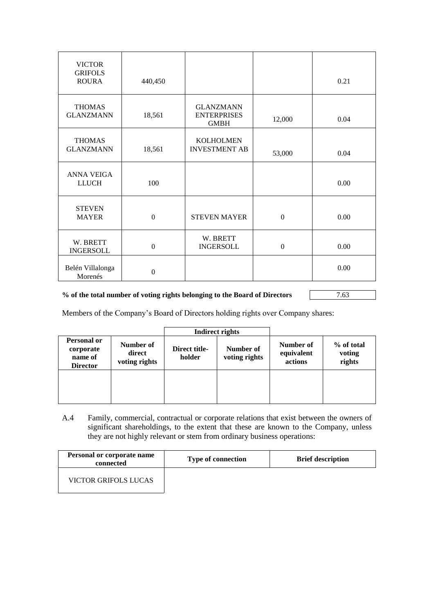| <b>VICTOR</b><br><b>GRIFOLS</b><br><b>ROURA</b> | 440,450          |                                                       |          | 0.21 |
|-------------------------------------------------|------------------|-------------------------------------------------------|----------|------|
| <b>THOMAS</b><br><b>GLANZMANN</b>               | 18,561           | <b>GLANZMANN</b><br><b>ENTERPRISES</b><br><b>GMBH</b> | 12,000   | 0.04 |
| <b>THOMAS</b><br><b>GLANZMANN</b>               | 18,561           | <b>KOLHOLMEN</b><br><b>INVESTMENT AB</b>              | 53,000   | 0.04 |
| <b>ANNA VEIGA</b><br><b>LLUCH</b>               | 100              |                                                       |          | 0.00 |
| <b>STEVEN</b><br><b>MAYER</b>                   | $\boldsymbol{0}$ | <b>STEVEN MAYER</b>                                   | $\Omega$ | 0.00 |
| W. BRETT<br><b>INGERSOLL</b>                    | $\boldsymbol{0}$ | W. BRETT<br><b>INGERSOLL</b>                          | $\Omega$ | 0.00 |
| Belén Villalonga<br>Morenés                     | $\boldsymbol{0}$ |                                                       |          | 0.00 |

### **% of the total number of voting rights belonging to the Board of Directors** 7.63

Members of the Company's Board of Directors holding rights over Company shares:

|                                                               |                                      |                         | Indirect rights            |                                    |                                |
|---------------------------------------------------------------|--------------------------------------|-------------------------|----------------------------|------------------------------------|--------------------------------|
| <b>Personal or</b><br>corporate<br>name of<br><b>Director</b> | Number of<br>direct<br>voting rights | Direct title-<br>holder | Number of<br>voting rights | Number of<br>equivalent<br>actions | % of total<br>voting<br>rights |
|                                                               |                                      |                         |                            |                                    |                                |

A.4 Family, commercial, contractual or corporate relations that exist between the owners of significant shareholdings, to the extent that these are known to the Company, unless they are not highly relevant or stem from ordinary business operations:

| Personal or corporate name<br>connected | <b>Type of connection</b> | <b>Brief description</b> |
|-----------------------------------------|---------------------------|--------------------------|
| VICTOR GRIFOLS LUCAS                    |                           |                          |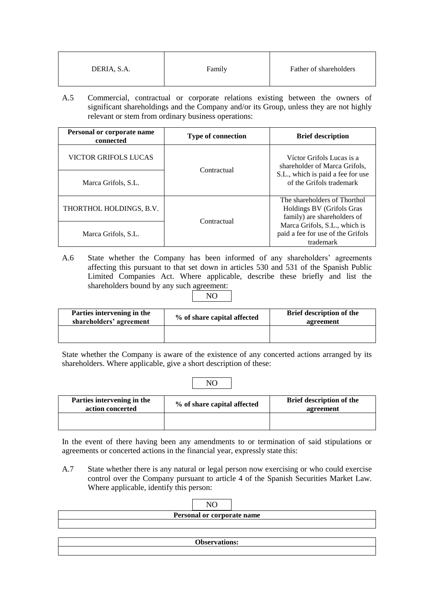| DERIA, S.A. | Family | Father of shareholders |
|-------------|--------|------------------------|
|-------------|--------|------------------------|

A.5 Commercial, contractual or corporate relations existing between the owners of significant shareholdings and the Company and/or its Group, unless they are not highly relevant or stem from ordinary business operations:

| Personal or corporate name<br>connected | <b>Type of connection</b> | <b>Brief description</b>                                                                 |
|-----------------------------------------|---------------------------|------------------------------------------------------------------------------------------|
| VICTOR GRIFOLS LUCAS                    | Contractual               | Víctor Grifols Lucas is a<br>shareholder of Marca Grifols,                               |
| Marca Grifols, S.L.                     |                           | S.L., which is paid a fee for use<br>of the Grifols trademark                            |
| THORTHOL HOLDINGS, B.V.                 | Contractual               | The shareholders of Thorthol<br>Holdings BV (Grifols Gras<br>family) are shareholders of |
| Marca Grifols, S.L.                     |                           | Marca Grifols, S.L., which is<br>paid a fee for use of the Grifols<br>trademark          |

- A.6 State whether the Company has been informed of any shareholders' agreements affecting this pursuant to that set down in articles 530 and 531 of the Spanish Public Limited Companies Act. Where applicable, describe these briefly and list the shareholders bound by any such agreement:
	- NO

| Parties intervening in the<br>shareholders' agreement | % of share capital affected | <b>Brief description of the</b><br>agreement |  |
|-------------------------------------------------------|-----------------------------|----------------------------------------------|--|
|                                                       |                             |                                              |  |

State whether the Company is aware of the existence of any concerted actions arranged by its shareholders. Where applicable, give a short description of these:

NO

| Parties intervening in the<br>action concerted | % of share capital affected | <b>Brief description of the</b><br>agreement |  |
|------------------------------------------------|-----------------------------|----------------------------------------------|--|
|                                                |                             |                                              |  |

In the event of there having been any amendments to or termination of said stipulations or agreements or concerted actions in the financial year, expressly state this:

A.7 State whether there is any natural or legal person now exercising or who could exercise control over the Company pursuant to article 4 of the Spanish Securities Market Law. Where applicable, identify this person:

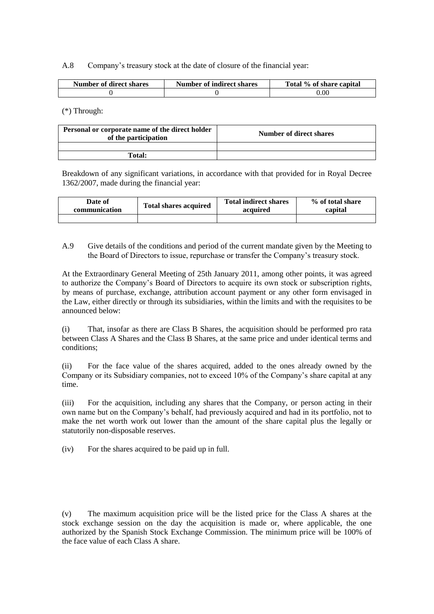A.8 Company's treasury stock at the date of closure of the financial year:

| <b>Number of direct shares</b> | <b>Number of indirect shares</b> | Total % of share capital |
|--------------------------------|----------------------------------|--------------------------|
|                                |                                  | 0.OO                     |

(\*) Through:

| Personal or corporate name of the direct holder<br>of the participation | Number of direct shares |  |  |
|-------------------------------------------------------------------------|-------------------------|--|--|
|                                                                         |                         |  |  |
| Total:                                                                  |                         |  |  |

Breakdown of any significant variations, in accordance with that provided for in Royal Decree 1362/2007, made during the financial year:

| Date of       | <b>Total shares acquired</b> | <b>Total indirect shares</b> | % of total share |  |
|---------------|------------------------------|------------------------------|------------------|--|
| communication |                              | acquired                     | capital          |  |
|               |                              |                              |                  |  |

A.9 Give details of the conditions and period of the current mandate given by the Meeting to the Board of Directors to issue, repurchase or transfer the Company's treasury stock.

At the Extraordinary General Meeting of 25th January 2011, among other points, it was agreed to authorize the Company's Board of Directors to acquire its own stock or subscription rights, by means of purchase, exchange, attribution account payment or any other form envisaged in the Law, either directly or through its subsidiaries, within the limits and with the requisites to be announced below:

(i) That, insofar as there are Class B Shares, the acquisition should be performed pro rata between Class A Shares and the Class B Shares, at the same price and under identical terms and conditions;

(ii) For the face value of the shares acquired, added to the ones already owned by the Company or its Subsidiary companies, not to exceed 10% of the Company's share capital at any time.

(iii) For the acquisition, including any shares that the Company, or person acting in their own name but on the Company's behalf, had previously acquired and had in its portfolio, not to make the net worth work out lower than the amount of the share capital plus the legally or statutorily non-disposable reserves.

(iv) For the shares acquired to be paid up in full.

(v) The maximum acquisition price will be the listed price for the Class A shares at the stock exchange session on the day the acquisition is made or, where applicable, the one authorized by the Spanish Stock Exchange Commission. The minimum price will be 100% of the face value of each Class A share.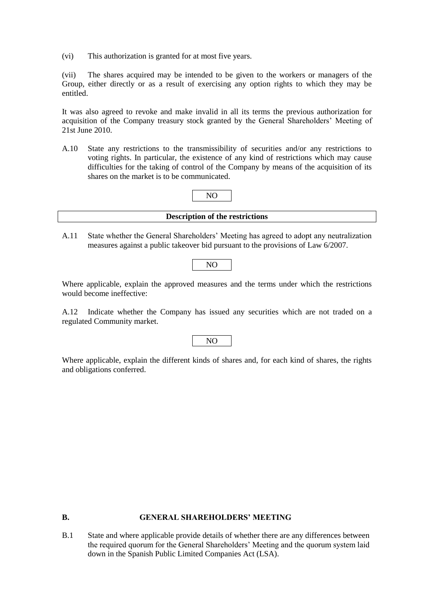(vi) This authorization is granted for at most five years.

(vii) The shares acquired may be intended to be given to the workers or managers of the Group, either directly or as a result of exercising any option rights to which they may be entitled.

It was also agreed to revoke and make invalid in all its terms the previous authorization for acquisition of the Company treasury stock granted by the General Shareholders' Meeting of 21st June 2010.

A.10 State any restrictions to the transmissibility of securities and/or any restrictions to voting rights. In particular, the existence of any kind of restrictions which may cause difficulties for the taking of control of the Company by means of the acquisition of its shares on the market is to be communicated.

| <b>Description of the restrictions</b> |  |
|----------------------------------------|--|

NO

A.11 State whether the General Shareholders' Meeting has agreed to adopt any neutralization measures against a public takeover bid pursuant to the provisions of Law 6/2007.

```
NO
```
Where applicable, explain the approved measures and the terms under which the restrictions would become ineffective:

A.12 Indicate whether the Company has issued any securities which are not traded on a regulated Community market.

# NO

Where applicable, explain the different kinds of shares and, for each kind of shares, the rights and obligations conferred.

#### **B. GENERAL SHAREHOLDERS' MEETING**

B.1 State and where applicable provide details of whether there are any differences between the required quorum for the General Shareholders' Meeting and the quorum system laid down in the Spanish Public Limited Companies Act (LSA).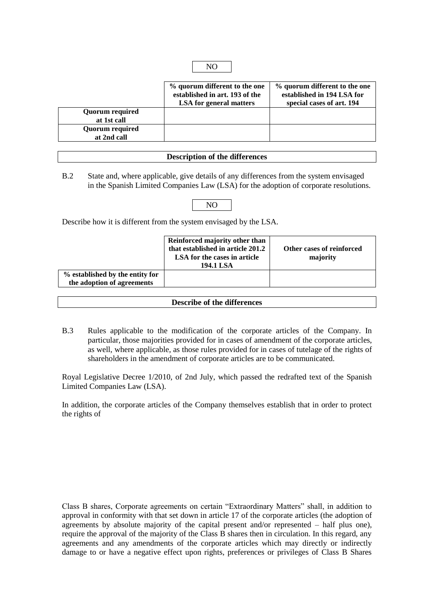|                        | % quorum different to the one  | % quorum different to the one |
|------------------------|--------------------------------|-------------------------------|
|                        | established in art. 193 of the | established in 194 LSA for    |
|                        | <b>LSA</b> for general matters | special cases of art. 194     |
| <b>Quorum required</b> |                                |                               |
| at 1st call            |                                |                               |
| <b>Quorum required</b> |                                |                               |
| at 2nd call            |                                |                               |

NO

#### **Description of the differences**

B.2 State and, where applicable, give details of any differences from the system envisaged in the Spanish Limited Companies Law (LSA) for the adoption of corporate resolutions.

# NO

Describe how it is different from the system envisaged by the LSA.

|                                                               | Reinforced majority other than<br>that established in article 201.2<br>LSA for the cases in article<br>194.1 LSA | Other cases of reinforced<br>majority |
|---------------------------------------------------------------|------------------------------------------------------------------------------------------------------------------|---------------------------------------|
| % established by the entity for<br>the adoption of agreements |                                                                                                                  |                                       |

#### **Describe of the differences**

B.3 Rules applicable to the modification of the corporate articles of the Company. In particular, those majorities provided for in cases of amendment of the corporate articles, as well, where applicable, as those rules provided for in cases of tutelage of the rights of shareholders in the amendment of corporate articles are to be communicated.

Royal Legislative Decree 1/2010, of 2nd July, which passed the redrafted text of the Spanish Limited Companies Law (LSA).

In addition, the corporate articles of the Company themselves establish that in order to protect the rights of

Class B shares, Corporate agreements on certain "Extraordinary Matters" shall, in addition to approval in conformity with that set down in article 17 of the corporate articles (the adoption of agreements by absolute majority of the capital present and/or represented – half plus one), require the approval of the majority of the Class B shares then in circulation. In this regard, any agreements and any amendments of the corporate articles which may directly or indirectly damage to or have a negative effect upon rights, preferences or privileges of Class B Shares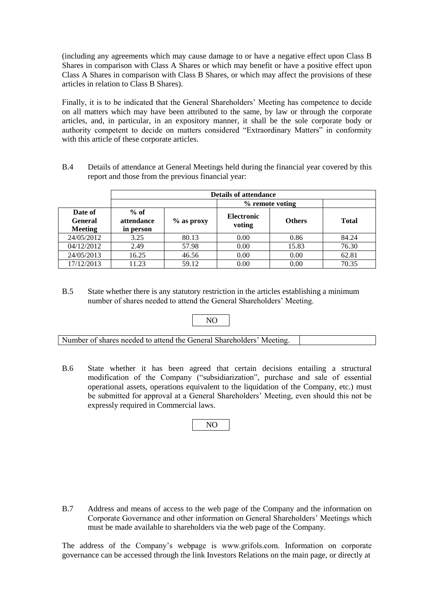(including any agreements which may cause damage to or have a negative effect upon Class B Shares in comparison with Class A Shares or which may benefit or have a positive effect upon Class A Shares in comparison with Class B Shares, or which may affect the provisions of these articles in relation to Class B Shares).

Finally, it is to be indicated that the General Shareholders' Meeting has competence to decide on all matters which may have been attributed to the same, by law or through the corporate articles, and, in particular, in an expository manner, it shall be the sole corporate body or authority competent to decide on matters considered "Extraordinary Matters" in conformity with this article of these corporate articles.

B.4 Details of attendance at General Meetings held during the financial year covered by this report and those from the previous financial year:

|                                             | <b>Details of attendance</b>      |               |                             |               |              |
|---------------------------------------------|-----------------------------------|---------------|-----------------------------|---------------|--------------|
|                                             |                                   |               | % remote voting             |               |              |
| Date of<br><b>General</b><br><b>Meeting</b> | $%$ of<br>attendance<br>in person | $\%$ as proxy | <b>Electronic</b><br>voting | <b>Others</b> | <b>Total</b> |
| 24/05/2012                                  | 3.25                              | 80.13         | 0.00                        | 0.86          | 84.24        |
| 04/12/2012                                  | 2.49                              | 57.98         | 0.00                        | 15.83         | 76.30        |
| 24/05/2013                                  | 16.25                             | 46.56         | 0.00                        | 0.00          | 62.81        |
| 17/12/2013                                  | 11.23                             | 59.12         | 0.00                        | 0.00          | 70.35        |

B.5 State whether there is any statutory restriction in the articles establishing a minimum number of shares needed to attend the General Shareholders' Meeting.



B.6 State whether it has been agreed that certain decisions entailing a structural modification of the Company ("subsidiarization", purchase and sale of essential operational assets, operations equivalent to the liquidation of the Company, etc.) must be submitted for approval at a General Shareholders' Meeting, even should this not be expressly required in Commercial laws.

NO

B.7 Address and means of access to the web page of the Company and the information on Corporate Governance and other information on General Shareholders' Meetings which must be made available to shareholders via the web page of the Company.

The address of the Company's webpage is www.grifols.com. Information on corporate governance can be accessed through the link Investors Relations on the main page, or directly at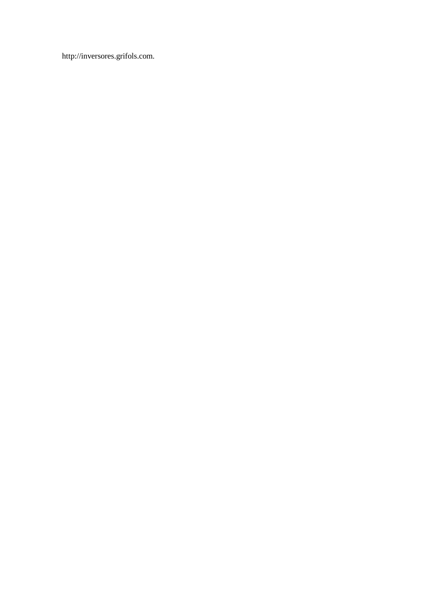http://inversores.grifols.com.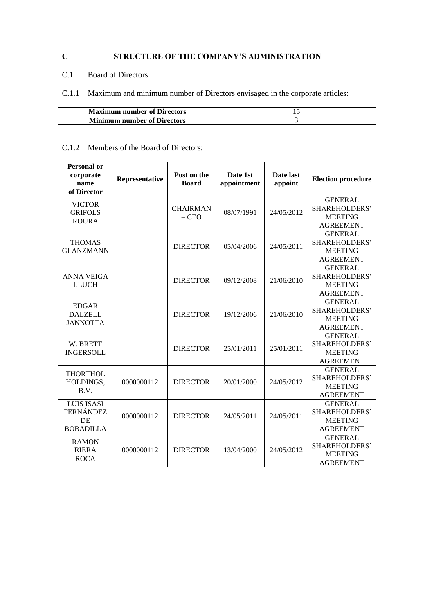# **C STRUCTURE OF THE COMPANY'S ADMINISTRATION**

# C.1 Board of Directors

# C.1.1 Maximum and minimum number of Directors envisaged in the corporate articles:

| <b>Maximum number of Directors</b> |  |
|------------------------------------|--|
| <b>Minimum number of Directors</b> |  |

# C.1.2 Members of the Board of Directors:

| <b>Personal or</b><br>corporate<br>name<br>of Director   | Representative | Post on the<br><b>Board</b> | Date 1st<br>appointment | Date last<br>appoint | <b>Election procedure</b>                                                    |
|----------------------------------------------------------|----------------|-----------------------------|-------------------------|----------------------|------------------------------------------------------------------------------|
| <b>VICTOR</b><br><b>GRIFOLS</b><br><b>ROURA</b>          |                | <b>CHAIRMAN</b><br>$-$ CEO  | 08/07/1991              | 24/05/2012           | <b>GENERAL</b><br><b>SHAREHOLDERS'</b><br><b>MEETING</b><br><b>AGREEMENT</b> |
| <b>THOMAS</b><br><b>GLANZMANN</b>                        |                | <b>DIRECTOR</b>             | 05/04/2006              | 24/05/2011           | <b>GENERAL</b><br>SHAREHOLDERS'<br><b>MEETING</b><br><b>AGREEMENT</b>        |
| <b>ANNA VEIGA</b><br><b>LLUCH</b>                        |                | <b>DIRECTOR</b>             | 09/12/2008              | 21/06/2010           | <b>GENERAL</b><br><b>SHAREHOLDERS'</b><br><b>MEETING</b><br><b>AGREEMENT</b> |
| <b>EDGAR</b><br><b>DALZELL</b><br><b>JANNOTTA</b>        |                | <b>DIRECTOR</b>             | 19/12/2006              | 21/06/2010           | <b>GENERAL</b><br>SHAREHOLDERS'<br><b>MEETING</b><br><b>AGREEMENT</b>        |
| W. BRETT<br><b>INGERSOLL</b>                             |                | <b>DIRECTOR</b>             | 25/01/2011              | 25/01/2011           | <b>GENERAL</b><br>SHAREHOLDERS'<br><b>MEETING</b><br><b>AGREEMENT</b>        |
| <b>THORTHOL</b><br>HOLDINGS,<br>B.V.                     | 0000000112     | <b>DIRECTOR</b>             | 20/01/2000              | 24/05/2012           | <b>GENERAL</b><br><b>SHAREHOLDERS'</b><br><b>MEETING</b><br><b>AGREEMENT</b> |
| <b>LUIS ISASI</b><br>FERNÁNDEZ<br>DE<br><b>BOBADILLA</b> | 0000000112     | <b>DIRECTOR</b>             | 24/05/2011              | 24/05/2011           | <b>GENERAL</b><br>SHAREHOLDERS'<br><b>MEETING</b><br><b>AGREEMENT</b>        |
| <b>RAMON</b><br><b>RIERA</b><br><b>ROCA</b>              | 0000000112     | <b>DIRECTOR</b>             | 13/04/2000              | 24/05/2012           | <b>GENERAL</b><br><b>SHAREHOLDERS'</b><br><b>MEETING</b><br><b>AGREEMENT</b> |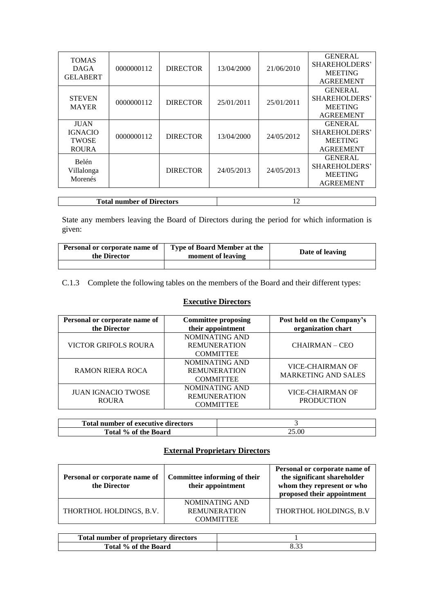| <b>TOMAS</b><br><b>DAGA</b><br><b>GELABERT</b>                | 0000000112 | <b>DIRECTOR</b> | 13/04/2000 | 21/06/2010 | <b>GENERAL</b><br><b>SHAREHOLDERS'</b><br><b>MEETING</b><br><b>AGREEMENT</b> |
|---------------------------------------------------------------|------------|-----------------|------------|------------|------------------------------------------------------------------------------|
| <b>STEVEN</b><br><b>MAYER</b>                                 | 0000000112 | <b>DIRECTOR</b> | 25/01/2011 | 25/01/2011 | <b>GENERAL</b><br>SHAREHOLDERS'<br><b>MEETING</b><br><b>AGREEMENT</b>        |
| <b>JUAN</b><br><b>IGNACIO</b><br><b>TWOSE</b><br><b>ROURA</b> | 0000000112 | <b>DIRECTOR</b> | 13/04/2000 | 24/05/2012 | <b>GENERAL</b><br><b>SHAREHOLDERS'</b><br><b>MEETING</b><br><b>AGREEMENT</b> |
| <b>Belén</b><br>Villalonga<br>Morenés                         |            | <b>DIRECTOR</b> | 24/05/2013 | 24/05/2013 | <b>GENERAL</b><br><b>SHAREHOLDERS'</b><br><b>MEETING</b><br><b>AGREEMENT</b> |
|                                                               |            |                 |            |            |                                                                              |

| <b>Total number of Directors</b> |  |
|----------------------------------|--|
|                                  |  |

State any members leaving the Board of Directors during the period for which information is given:

| Personal or corporate name of<br>the Director | <b>Type of Board Member at the</b><br>moment of leaving | Date of leaving |
|-----------------------------------------------|---------------------------------------------------------|-----------------|
|                                               |                                                         |                 |

C.1.3 Complete the following tables on the members of the Board and their different types:

# **Executive Directors**

| Personal or corporate name of<br>the Director | <b>Committee proposing</b><br>their appointment           | Post held on the Company's<br>organization chart      |
|-----------------------------------------------|-----------------------------------------------------------|-------------------------------------------------------|
| <b>VICTOR GRIFOLS ROURA</b>                   | NOMINATING AND<br><b>REMUNERATION</b><br><b>COMMITTEE</b> | CHAIRMAN – CEO                                        |
| RAMON RIERA ROCA                              | NOMINATING AND<br><b>REMUNERATION</b><br><b>COMMITTEE</b> | <b>VICE-CHAIRMAN OF</b><br><b>MARKETING AND SALES</b> |
| <b>JUAN IGNACIO TWOSE</b><br><b>ROURA</b>     | NOMINATING AND<br><b>REMUNERATION</b><br><b>COMMITTEE</b> | <b>VICE-CHAIRMAN OF</b><br><b>PRODUCTION</b>          |

| <b>Total number of executive directors</b> |       |
|--------------------------------------------|-------|
| Total % of the Board                       | 25.00 |

# **External Proprietary Directors**

| Personal or corporate name of<br>the Director | Committee informing of their<br>their appointment         | Personal or corporate name of<br>the significant shareholder<br>whom they represent or who<br>proposed their appointment |
|-----------------------------------------------|-----------------------------------------------------------|--------------------------------------------------------------------------------------------------------------------------|
| THORTHOL HOLDINGS, B.V.                       | NOMINATING AND<br><b>REMUNERATION</b><br><b>COMMITTEE</b> | THORTHOL HOLDINGS, B.V                                                                                                   |

| Total number of proprietary directors |  |
|---------------------------------------|--|
| Total % of the Board                  |  |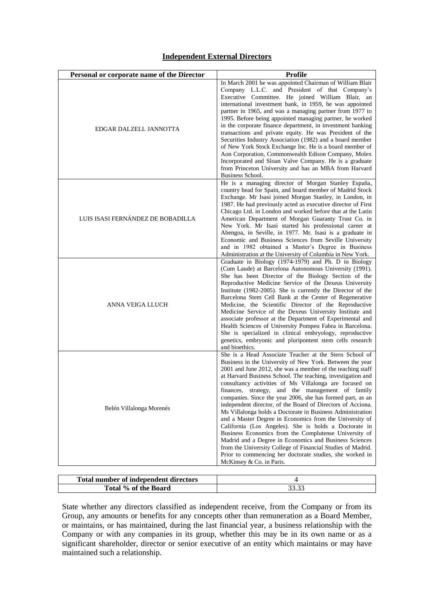# **Independent External Directors**

| Personal or corporate name of the Director | Profile                                                                                                                                                                                                                                                                                                                                                                                                                                                                                                                                                                                                                                                                                                                                                                                                                                                                                                                                                |
|--------------------------------------------|--------------------------------------------------------------------------------------------------------------------------------------------------------------------------------------------------------------------------------------------------------------------------------------------------------------------------------------------------------------------------------------------------------------------------------------------------------------------------------------------------------------------------------------------------------------------------------------------------------------------------------------------------------------------------------------------------------------------------------------------------------------------------------------------------------------------------------------------------------------------------------------------------------------------------------------------------------|
| EDGAR DALZELL JANNOTTA                     | In March 2001 he was appointed Chairman of William Blair<br>Company L.L.C. and President of that Company's<br>Executive Committee. He joined William Blair, an<br>international investment bank, in 1959, he was appointed<br>partner in 1965, and was a managing partner from 1977 to<br>1995. Before being appointed managing partner, he worked<br>in the corporate finance department, in investment banking<br>transactions and private equity. He was President of the<br>Securities Industry Association (1982) and a board member<br>of New York Stock Exchange Inc. He is a board member of<br>Aon Corporation, Commonwealth Edison Company, Molex<br>Incorporated and Sloan Valve Company. He is a graduate<br>from Princeton University and has an MBA from Harvard<br><b>Business School.</b>                                                                                                                                              |
| LUIS ISASI FERNÁNDEZ DE BOBADILLA          | He is a managing director of Morgan Stanley España,<br>country head for Spain, and board member of Madrid Stock<br>Exchange. Mr Isasi joined Morgan Stanley, in London, in<br>1987. He had previously acted as executive director of First<br>Chicago Ltd. in London and worked before that at the Latin<br>American Department of Morgan Guaranty Trust Co. in<br>New York. Mr Isasi started his professional career at<br>Abengoa, in Seville, in 1977. Mr. Isasi is a graduate in<br>Economic and Business Sciences from Seville University<br>and in 1982 obtained a Master's Degree in Business<br>Administration at the University of Columbia in New York.                                                                                                                                                                                                                                                                                      |
| ANNA VEIGA LLUCH                           | Graduate in Biology (1974-1979) and Ph. D in Biology<br>(Cum Laude) at Barcelona Autonomous University (1991).<br>She has been Director of the Biology Section of the<br>Reproductive Medicine Service of the Dexeus University<br>Institute (1982-2005). She is currently the Director of the<br>Barcelona Stem Cell Bank at the Center of Regenerative<br>Medicine, the Scientific Director of the Reproductive<br>Medicine Service of the Dexeus University Institute and<br>associate professor at the Department of Experimental and<br>Health Sciences of University Pompeu Fabra in Barcelona.<br>She is specialized in clinical embryology, reproductive<br>genetics, embryonic and pluripontent stem cells research<br>and bioethics.                                                                                                                                                                                                         |
| Belén Villalonga Morenés                   | She is a Head Associate Teacher at the Stern School of<br>Business in the University of New York. Between the year<br>2001 and June 2012, she was a member of the teaching staff<br>at Harvard Business School. The teaching, investigation and<br>consultancy activities of Ms Villalonga are focused on<br>finances, strategy, and the management of family<br>companies. Since the year 2006, she has formed part, as an<br>independent director, of the Board of Directors of Acciona.<br>Ms Villalonga holds a Doctorate in Business Administration<br>and a Master Degree in Economics from the University of<br>California (Los Angeles). She is holds a Doctorate in<br>Business Economics from the Complutense University of<br>Madrid and a Degree in Economics and Business Sciences<br>from the University College of Financial Studies of Madrid.<br>Prior to commencing her doctorate studies, she worked in<br>McKinsey & Co. in Paris. |

| Total number of independent directors |  |
|---------------------------------------|--|
| Total % of the Board                  |  |

State whether any directors classified as independent receive, from the Company or from its Group, any amounts or benefits for any concepts other than remuneration as a Board Member, or maintains, or has maintained, during the last financial year, a business relationship with the Company or with any companies in its group, whether this may be in its own name or as a significant shareholder, director or senior executive of an entity which maintains or may have maintained such a relationship.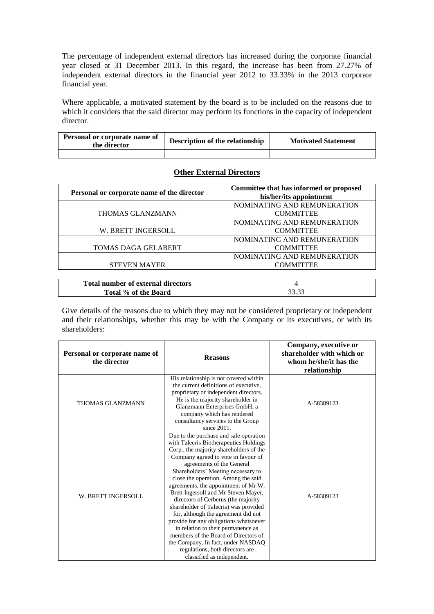The percentage of independent external directors has increased during the corporate financial year closed at 31 December 2013. In this regard, the increase has been from 27.27% of independent external directors in the financial year 2012 to 33.33% in the 2013 corporate financial year.

Where applicable, a motivated statement by the board is to be included on the reasons due to which it considers that the said director may perform its functions in the capacity of independent director.

| Personal or corporate name of<br>the director | Description of the relationship | <b>Motivated Statement</b> |
|-----------------------------------------------|---------------------------------|----------------------------|
|                                               |                                 |                            |

| <b>Other External Directors</b> |  |  |  |
|---------------------------------|--|--|--|
|---------------------------------|--|--|--|

| Personal or corporate name of the director | Committee that has informed or proposed<br>his/her/its appointment |
|--------------------------------------------|--------------------------------------------------------------------|
|                                            | NOMINATING AND REMUNERATION                                        |
| THOMAS GLANZMANN                           | <b>COMMITTEE</b>                                                   |
|                                            | NOMINATING AND REMUNERATION                                        |
| W. BRETT INGERSOLL                         | <b>COMMITTEE</b>                                                   |
|                                            | NOMINATING AND REMUNERATION                                        |
| <b>TOMAS DAGA GELABERT</b>                 | <b>COMMITTEE</b>                                                   |
|                                            | NOMINATING AND REMUNERATION                                        |
| <b>STEVEN MAYER</b>                        | <b>COMMITTEE</b>                                                   |
|                                            |                                                                    |

| <b>Total number of external directors</b> |  |
|-------------------------------------------|--|
| Total % of the Board                      |  |

Give details of the reasons due to which they may not be considered proprietary or independent and their relationships, whether this may be with the Company or its executives, or with its shareholders:

| Personal or corporate name of<br>the director | <b>Reasons</b>                                                                                                                                                                                                                                                                                                                                                                                                                                                                                                                                                                                                                                                                                                     | Company, executive or<br>shareholder with which or<br>whom he/she/it has the<br>relationship |
|-----------------------------------------------|--------------------------------------------------------------------------------------------------------------------------------------------------------------------------------------------------------------------------------------------------------------------------------------------------------------------------------------------------------------------------------------------------------------------------------------------------------------------------------------------------------------------------------------------------------------------------------------------------------------------------------------------------------------------------------------------------------------------|----------------------------------------------------------------------------------------------|
| THOMAS GLANZMANN                              | His relationship is not covered within<br>the current definitions of executive,<br>proprietary or independent directors.<br>He is the majority shareholder in<br>Glanzmann Enterprises GmbH, a<br>company which has rendered<br>consultancy services to the Group<br>since $2011$ .                                                                                                                                                                                                                                                                                                                                                                                                                                | A-58389123                                                                                   |
| W. BRETT INGERSOLL                            | Due to the purchase and sale operation<br>with Talecris Biotherapeutics Holdings<br>Corp., the majority shareholders of the<br>Company agreed to vote in favour of<br>agreements of the General<br>Shareholders' Meeting necessary to<br>close the operation. Among the said<br>agreements, the appointment of Mr W.<br>Brett Ingersoll and Mr Steven Mayer,<br>directors of Cerberus (the majority<br>shareholder of Talecris) was provided<br>for, although the agreement did not<br>provide for any obligations whatsoever<br>in relation to their permanence as<br>members of the Board of Directors of<br>the Company. In fact, under NASDAQ<br>regulations, both directors are<br>classified as independent. | A-58389123                                                                                   |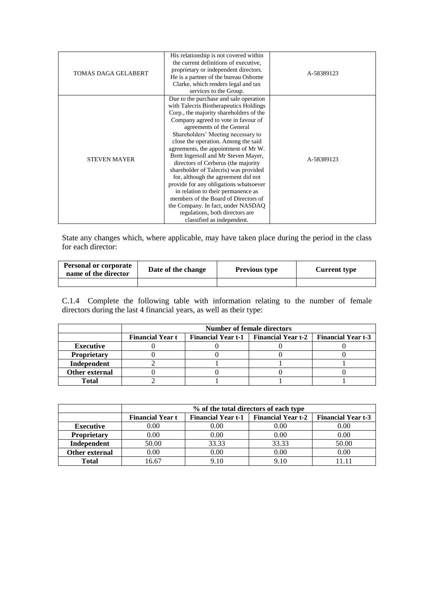| <b>TOMAS DAGA GELABERT</b> | His relationship is not covered within<br>the current definitions of executive,<br>proprietary or independent directors.<br>He is a partner of the bureau Osborne<br>Clarke, which renders legal and tax<br>services to the Group.                                                                                                                                                                                                                                                                                                                                                                                                                                                                                 | A-58389123 |
|----------------------------|--------------------------------------------------------------------------------------------------------------------------------------------------------------------------------------------------------------------------------------------------------------------------------------------------------------------------------------------------------------------------------------------------------------------------------------------------------------------------------------------------------------------------------------------------------------------------------------------------------------------------------------------------------------------------------------------------------------------|------------|
| <b>STEVEN MAYER</b>        | Due to the purchase and sale operation<br>with Talecris Biotherapeutics Holdings<br>Corp., the majority shareholders of the<br>Company agreed to vote in favour of<br>agreements of the General<br>Shareholders' Meeting necessary to<br>close the operation. Among the said<br>agreements, the appointment of Mr W.<br>Brett Ingersoll and Mr Steven Mayer,<br>directors of Cerberus (the majority<br>shareholder of Talecris) was provided<br>for, although the agreement did not<br>provide for any obligations whatsoever<br>in relation to their permanence as<br>members of the Board of Directors of<br>the Company. In fact, under NASDAQ<br>regulations, both directors are<br>classified as independent. | A-58389123 |

State any changes which, where applicable, may have taken place during the period in the class for each director:

| <b>Personal or corporate</b><br>name of the director | Date of the change | <b>Previous type</b> | <b>Current type</b> |
|------------------------------------------------------|--------------------|----------------------|---------------------|
|                                                      |                    |                      |                     |

C.1.4 Complete the following table with information relating to the number of female directors during the last 4 financial years, as well as their type:

|                    | <b>Number of female directors</b> |  |                                         |                           |
|--------------------|-----------------------------------|--|-----------------------------------------|---------------------------|
|                    | <b>Financial Year t</b>           |  | Financial Year t-1   Financial Year t-2 | <b>Financial Year t-3</b> |
| <b>Executive</b>   |                                   |  |                                         |                           |
| <b>Proprietary</b> |                                   |  |                                         |                           |
| Independent        |                                   |  |                                         |                           |
| Other external     |                                   |  |                                         |                           |
| Total              |                                   |  |                                         |                           |

|                    | % of the total directors of each type |                           |                           |                           |
|--------------------|---------------------------------------|---------------------------|---------------------------|---------------------------|
|                    | <b>Financial Year t</b>               | <b>Financial Year t-1</b> | <b>Financial Year t-2</b> | <b>Financial Year t-3</b> |
| <b>Executive</b>   | 0.00                                  | 0.00                      | 0.00                      | 0.00                      |
| <b>Proprietary</b> | 0.00                                  | 0.00                      | 0.00                      | 0.00                      |
| Independent        | 50.00                                 | 33.33                     | 33.33                     | 50.00                     |
| Other external     | 0.00                                  | 0.00                      | 0.00                      | 0.00                      |
| <b>Total</b>       | 6.67                                  | 9.10                      | 9.10                      |                           |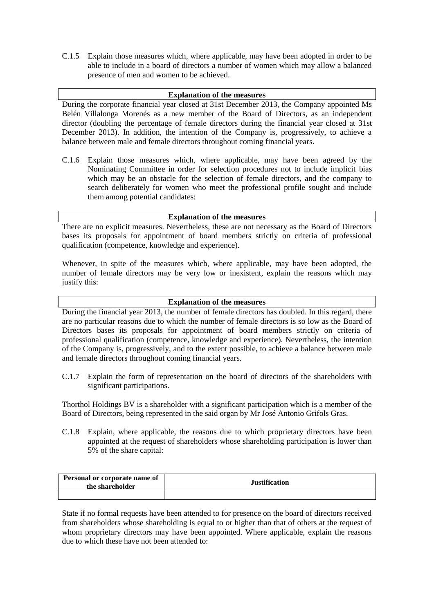C.1.5 Explain those measures which, where applicable, may have been adopted in order to be able to include in a board of directors a number of women which may allow a balanced presence of men and women to be achieved.

## **Explanation of the measures**

During the corporate financial year closed at 31st December 2013, the Company appointed Ms Belén Villalonga Morenés as a new member of the Board of Directors, as an independent director (doubling the percentage of female directors during the financial year closed at 31st December 2013). In addition, the intention of the Company is, progressively, to achieve a balance between male and female directors throughout coming financial years.

C.1.6 Explain those measures which, where applicable, may have been agreed by the Nominating Committee in order for selection procedures not to include implicit bias which may be an obstacle for the selection of female directors, and the company to search deliberately for women who meet the professional profile sought and include them among potential candidates:

### **Explanation of the measures**

There are no explicit measures. Nevertheless, these are not necessary as the Board of Directors bases its proposals for appointment of board members strictly on criteria of professional qualification (competence, knowledge and experience).

Whenever, in spite of the measures which, where applicable, may have been adopted, the number of female directors may be very low or inexistent, explain the reasons which may justify this:

#### **Explanation of the measures**

During the financial year 2013, the number of female directors has doubled. In this regard, there are no particular reasons due to which the number of female directors is so low as the Board of Directors bases its proposals for appointment of board members strictly on criteria of professional qualification (competence, knowledge and experience). Nevertheless, the intention of the Company is, progressively, and to the extent possible, to achieve a balance between male and female directors throughout coming financial years.

C.1.7 Explain the form of representation on the board of directors of the shareholders with significant participations.

Thorthol Holdings BV is a shareholder with a significant participation which is a member of the Board of Directors, being represented in the said organ by Mr José Antonio Grifols Gras.

C.1.8 Explain, where applicable, the reasons due to which proprietary directors have been appointed at the request of shareholders whose shareholding participation is lower than 5% of the share capital:

| <b>Personal or corporate name of</b><br>the shareholder | <b>Justification</b> |
|---------------------------------------------------------|----------------------|
|                                                         |                      |

State if no formal requests have been attended to for presence on the board of directors received from shareholders whose shareholding is equal to or higher than that of others at the request of whom proprietary directors may have been appointed. Where applicable, explain the reasons due to which these have not been attended to: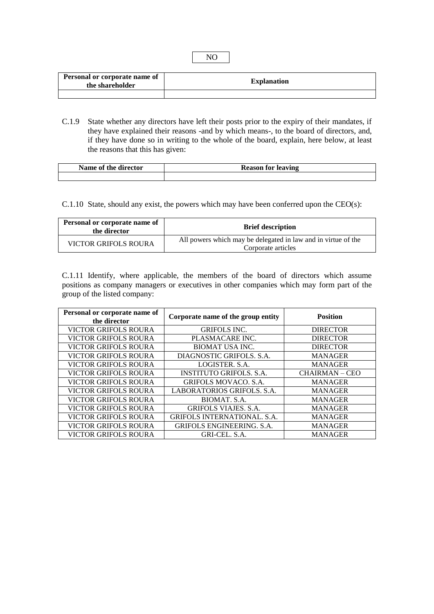| <b>Personal or corporate name of</b><br>the shareholder | <b>Explanation</b> |
|---------------------------------------------------------|--------------------|
|                                                         |                    |

C.1.9 State whether any directors have left their posts prior to the expiry of their mandates, if they have explained their reasons -and by which means-, to the board of directors, and, if they have done so in writing to the whole of the board, explain, here below, at least the reasons that this has given:

| Name of the director | <b>Reason for leaving</b> |  |
|----------------------|---------------------------|--|
|                      |                           |  |

C.1.10 State, should any exist, the powers which may have been conferred upon the CEO(s):

| Personal or corporate name of<br>the director | <b>Brief description</b>                                                            |  |
|-----------------------------------------------|-------------------------------------------------------------------------------------|--|
| <b>VICTOR GRIFOLS ROURA</b>                   | All powers which may be delegated in law and in virtue of the<br>Corporate articles |  |

C.1.11 Identify, where applicable, the members of the board of directors which assume positions as company managers or executives in other companies which may form part of the group of the listed company:

| Personal or corporate name of<br>the director | Corporate name of the group entity | <b>Position</b> |
|-----------------------------------------------|------------------------------------|-----------------|
| <b>VICTOR GRIFOLS ROURA</b>                   | <b>GRIFOLS INC.</b>                | <b>DIRECTOR</b> |
| <b>VICTOR GRIFOLS ROURA</b>                   | PLASMACARE INC.                    | <b>DIRECTOR</b> |
| <b>VICTOR GRIFOLS ROURA</b>                   | <b>BIOMAT USA INC.</b>             | <b>DIRECTOR</b> |
| <b>VICTOR GRIFOLS ROURA</b>                   | DIAGNOSTIC GRIFOLS, S.A.           | <b>MANAGER</b>  |
| <b>VICTOR GRIFOLS ROURA</b>                   | LOGISTER, S.A.                     | <b>MANAGER</b>  |
| <b>VICTOR GRIFOLS ROURA</b>                   | <b>INSTITUTO GRIFOLS, S.A.</b>     | CHAIRMAN – CEO  |
| <b>VICTOR GRIFOLS ROURA</b>                   | <b>GRIFOLS MOVACO, S.A.</b>        | <b>MANAGER</b>  |
| <b>VICTOR GRIFOLS ROURA</b>                   | LABORATORIOS GRIFOLS, S.A.         | <b>MANAGER</b>  |
| <b>VICTOR GRIFOLS ROURA</b>                   | BIOMAT. S.A.                       | <b>MANAGER</b>  |
| <b>VICTOR GRIFOLS ROURA</b>                   | <b>GRIFOLS VIAJES. S.A.</b>        | <b>MANAGER</b>  |
| <b>VICTOR GRIFOLS ROURA</b>                   | <b>GRIFOLS INTERNATIONAL, S.A.</b> | <b>MANAGER</b>  |
| <b>VICTOR GRIFOLS ROURA</b>                   | GRIFOLS ENGINEERING, S.A.          | <b>MANAGER</b>  |
| <b>VICTOR GRIFOLS ROURA</b>                   | GRI-CEL S.A.                       | <b>MANAGER</b>  |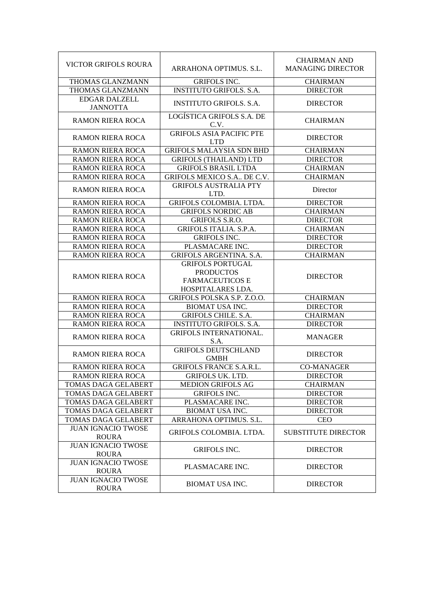| <b>VICTOR GRIFOLS ROURA</b>               | ARRAHONA OPTIMUS. S.L.                                                                     | <b>CHAIRMAN AND</b><br><b>MANAGING DIRECTOR</b> |
|-------------------------------------------|--------------------------------------------------------------------------------------------|-------------------------------------------------|
| THOMAS GLANZMANN                          | <b>GRIFOLS INC.</b>                                                                        | <b>CHAIRMAN</b>                                 |
| THOMAS GLANZMANN                          | <b>INSTITUTO GRIFOLS. S.A.</b>                                                             | <b>DIRECTOR</b>                                 |
| <b>EDGAR DALZELL</b><br><b>JANNOTTA</b>   | <b>INSTITUTO GRIFOLS. S.A.</b>                                                             | <b>DIRECTOR</b>                                 |
| <b>RAMON RIERA ROCA</b>                   | LOGÍSTICA GRIFOLS S.A. DE<br>C.V.                                                          | <b>CHAIRMAN</b>                                 |
| <b>RAMON RIERA ROCA</b>                   | <b>GRIFOLS ASIA PACIFIC PTE</b><br><b>LTD</b>                                              | <b>DIRECTOR</b>                                 |
| RAMON RIERA ROCA                          | <b>GRIFOLS MALAYSIA SDN BHD</b>                                                            | <b>CHAIRMAN</b>                                 |
| <b>RAMON RIERA ROCA</b>                   | <b>GRIFOLS (THAILAND) LTD</b>                                                              | <b>DIRECTOR</b>                                 |
| <b>RAMON RIERA ROCA</b>                   | <b>GRIFOLS BRASIL LTDA</b>                                                                 | <b>CHAIRMAN</b>                                 |
| <b>RAMON RIERA ROCA</b>                   | GRIFOLS MEXICO S.A DE C.V.                                                                 | <b>CHAIRMAN</b>                                 |
| <b>RAMON RIERA ROCA</b>                   | <b>GRIFOLS AUSTRALIA PTY</b><br>LTD.                                                       | Director                                        |
| <b>RAMON RIERA ROCA</b>                   | GRIFOLS COLOMBIA. LTDA.                                                                    | <b>DIRECTOR</b>                                 |
| <b>RAMON RIERA ROCA</b>                   | <b>GRIFOLS NORDIC AB</b>                                                                   | <b>CHAIRMAN</b>                                 |
| <b>RAMON RIERA ROCA</b>                   | GRIFOLS S.R.O.                                                                             | <b>DIRECTOR</b>                                 |
| <b>RAMON RIERA ROCA</b>                   | <b>GRIFOLS ITALIA. S.P.A.</b>                                                              | <b>CHAIRMAN</b>                                 |
| RAMON RIERA ROCA                          | <b>GRIFOLS INC.</b>                                                                        | <b>DIRECTOR</b>                                 |
| <b>RAMON RIERA ROCA</b>                   | PLASMACARE INC.                                                                            | <b>DIRECTOR</b>                                 |
| <b>RAMON RIERA ROCA</b>                   | <b>GRIFOLS ARGENTINA. S.A.</b>                                                             | <b>CHAIRMAN</b>                                 |
| <b>RAMON RIERA ROCA</b>                   | <b>GRIFOLS PORTUGAL</b><br><b>PRODUCTOS</b><br><b>FARMACEUTICOS E</b><br>HOSPITALARES LDA. | <b>DIRECTOR</b>                                 |
| <b>RAMON RIERA ROCA</b>                   | GRIFOLS POLSKA S.P. Z.O.O.                                                                 | <b>CHAIRMAN</b>                                 |
| <b>RAMON RIERA ROCA</b>                   | <b>BIOMAT USA INC.</b>                                                                     | <b>DIRECTOR</b>                                 |
| <b>RAMON RIERA ROCA</b>                   | <b>GRIFOLS CHILE. S.A.</b>                                                                 | <b>CHAIRMAN</b>                                 |
| <b>RAMON RIERA ROCA</b>                   | <b>INSTITUTO GRIFOLS. S.A.</b>                                                             | <b>DIRECTOR</b>                                 |
| <b>RAMON RIERA ROCA</b>                   | <b>GRIFOLS INTERNATIONAL.</b><br>S.A.                                                      | <b>MANAGER</b>                                  |
| <b>RAMON RIERA ROCA</b>                   | <b>GRIFOLS DEUTSCHLAND</b><br><b>GMBH</b>                                                  | <b>DIRECTOR</b>                                 |
| <b>RAMON RIERA ROCA</b>                   | <b>GRIFOLS FRANCE S.A.R.L.</b>                                                             | <b>CO-MANAGER</b>                               |
| <b>RAMON RIERA ROCA</b>                   | <b>GRIFOLS UK. LTD.</b>                                                                    | <b>DIRECTOR</b>                                 |
| TOMAS DAGA GELABERT                       | <b>MEDION GRIFOLS AG</b>                                                                   | <b>CHAIRMAN</b>                                 |
| TOMAS DAGA GELABERT                       | <b>GRIFOLS INC.</b>                                                                        | <b>DIRECTOR</b>                                 |
| TOMAS DAGA GELABERT                       | PLASMACARE INC.                                                                            | <b>DIRECTOR</b>                                 |
| TOMAS DAGA GELABERT                       | <b>BIOMAT USA INC.</b>                                                                     | <b>DIRECTOR</b>                                 |
| TOMAS DAGA GELABERT                       | ARRAHONA OPTIMUS. S.L.                                                                     | <b>CEO</b>                                      |
| <b>JUAN IGNACIO TWOSE</b><br><b>ROURA</b> | <b>GRIFOLS COLOMBIA. LTDA.</b>                                                             | <b>SUBSTITUTE DIRECTOR</b>                      |
| <b>JUAN IGNACIO TWOSE</b><br><b>ROURA</b> | <b>GRIFOLS INC.</b>                                                                        | <b>DIRECTOR</b>                                 |
| <b>JUAN IGNACIO TWOSE</b><br><b>ROURA</b> | PLASMACARE INC.                                                                            | <b>DIRECTOR</b>                                 |
| <b>JUAN IGNACIO TWOSE</b><br><b>ROURA</b> | <b>BIOMAT USA INC.</b>                                                                     | <b>DIRECTOR</b>                                 |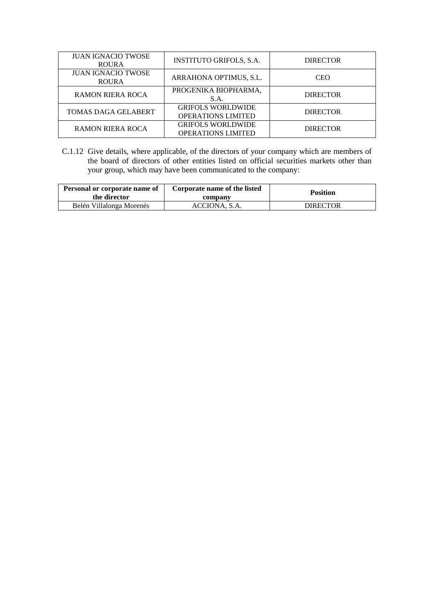| <b>JUAN IGNACIO TWOSE</b><br><b>ROURA</b> | <b>INSTITUTO GRIFOLS, S.A.</b>                        | <b>DIRECTOR</b> |
|-------------------------------------------|-------------------------------------------------------|-----------------|
| <b>JUAN IGNACIO TWOSE</b><br><b>ROURA</b> | ARRAHONA OPTIMUS, S.L.                                | <b>CEO</b>      |
| <b>RAMON RIERA ROCA</b>                   | PROGENIKA BIOPHARMA,<br>S.A.                          | <b>DIRECTOR</b> |
| TOMAS DAGA GELABERT                       | <b>GRIFOLS WORLDWIDE</b><br><b>OPERATIONS LIMITED</b> | <b>DIRECTOR</b> |
| <b>RAMON RIERA ROCA</b>                   | <b>GRIFOLS WORLDWIDE</b><br><b>OPERATIONS LIMITED</b> | <b>DIRECTOR</b> |

C.1.12 Give details, where applicable, of the directors of your company which are members of the board of directors of other entities listed on official securities markets other than your group, which may have been communicated to the company:

| Personal or corporate name of<br>the director | Corporate name of the listed<br>company | <b>Position</b> |
|-----------------------------------------------|-----------------------------------------|-----------------|
| Belén Villalonga Morenés                      | ACCIONA, S.A.                           | DIRECTOR        |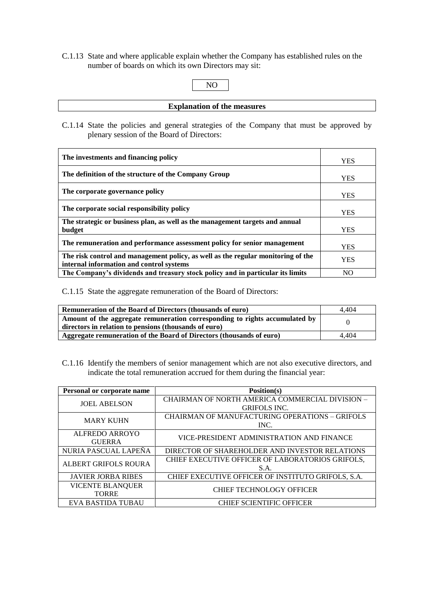C.1.13 State and where applicable explain whether the Company has established rules on the number of boards on which its own Directors may sit:

```
NO
```
**Explanation of the measures**

C.1.14 State the policies and general strategies of the Company that must be approved by plenary session of the Board of Directors:

| The investments and financing policy                                                                                         | <b>YES</b> |
|------------------------------------------------------------------------------------------------------------------------------|------------|
| The definition of the structure of the Company Group                                                                         | <b>YES</b> |
| The corporate governance policy                                                                                              | <b>YES</b> |
| The corporate social responsibility policy                                                                                   | <b>YES</b> |
| The strategic or business plan, as well as the management targets and annual<br>budget                                       | <b>YES</b> |
| The remuneration and performance assessment policy for senior management                                                     | <b>YES</b> |
| The risk control and management policy, as well as the regular monitoring of the<br>internal information and control systems | <b>YES</b> |
| The Company's dividends and treasury stock policy and in particular its limits                                               | NO.        |

C.1.15 State the aggregate remuneration of the Board of Directors:

| Remuneration of the Board of Directors (thousands of euro)                                                                           | 4.404 |
|--------------------------------------------------------------------------------------------------------------------------------------|-------|
| Amount of the aggregate remuneration corresponding to rights accumulated by<br>directors in relation to pensions (thousands of euro) |       |
|                                                                                                                                      |       |
| Aggregate remuneration of the Board of Directors (thousands of euro)                                                                 | 4.404 |

C.1.16 Identify the members of senior management which are not also executive directors, and indicate the total remuneration accrued for them during the financial year:

| Personal or corporate name | Position(s)                                           |  |
|----------------------------|-------------------------------------------------------|--|
| <b>JOEL ABELSON</b>        | CHAIRMAN OF NORTH AMERICA COMMERCIAL DIVISION -       |  |
|                            | <b>GRIFOLS INC.</b>                                   |  |
| <b>MARY KUHN</b>           | <b>CHAIRMAN OF MANUFACTURING OPERATIONS - GRIFOLS</b> |  |
|                            | INC.                                                  |  |
| <b>ALFREDO ARROYO</b>      | VICE-PRESIDENT ADMINISTRATION AND FINANCE             |  |
| <b>GUERRA</b>              |                                                       |  |
| NURIA PASCUAL LAPENA       | DIRECTOR OF SHAREHOLDER AND INVESTOR RELATIONS        |  |
| ALBERT GRIFOLS ROURA       | CHIEF EXECUTIVE OFFICER OF LABORATORIOS GRIFOLS,      |  |
|                            | S.A.                                                  |  |
| <b>JAVIER JORBA RIBES</b>  | CHIEF EXECUTIVE OFFICER OF INSTITUTO GRIFOLS, S.A.    |  |
| <b>VICENTE BLANQUER</b>    | <b>CHIEF TECHNOLOGY OFFICER</b>                       |  |
| <b>TORRE</b>               |                                                       |  |
| EVA BASTIDA TUBAU          | <b>CHIEF SCIENTIFIC OFFICER</b>                       |  |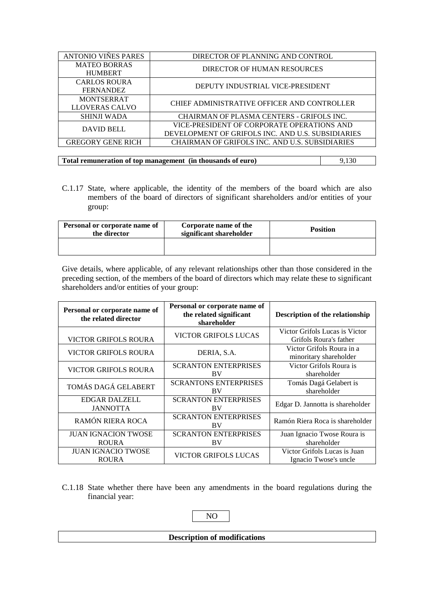| ANTONIO VIÑES PARES      | DIRECTOR OF PLANNING AND CONTROL                   |  |
|--------------------------|----------------------------------------------------|--|
| <b>MATEO BORRAS</b>      | DIRECTOR OF HUMAN RESOURCES                        |  |
| <b>HUMBERT</b>           |                                                    |  |
| <b>CARLOS ROURA</b>      | DEPUTY INDUSTRIAL VICE-PRESIDENT                   |  |
| <b>FERNANDEZ</b>         |                                                    |  |
| <b>MONTSERRAT</b>        | <b>CHIEF ADMINISTRATIVE OFFICER AND CONTROLLER</b> |  |
| LLOVERAS CALVO           |                                                    |  |
| <b>SHINJI WADA</b>       | CHAIRMAN OF PLASMA CENTERS - GRIFOLS INC.          |  |
| DAVID BELL               | VICE-PRESIDENT OF CORPORATE OPERATIONS AND         |  |
|                          | DEVELOPMENT OF GRIFOLS INC. AND U.S. SUBSIDIARIES  |  |
| <b>GREGORY GENE RICH</b> | CHAIRMAN OF GRIFOLS INC. AND U.S. SUBSIDIARIES     |  |

**Total remuneration of top management (in thousands of euro)** 9,130

C.1.17 State, where applicable, the identity of the members of the board which are also members of the board of directors of significant shareholders and/or entities of your group:

| Personal or corporate name of<br>the director | Corporate name of the<br>significant shareholder | <b>Position</b> |
|-----------------------------------------------|--------------------------------------------------|-----------------|
|                                               |                                                  |                 |

Give details, where applicable, of any relevant relationships other than those considered in the preceding section, of the members of the board of directors which may relate these to significant shareholders and/or entities of your group:

| Personal or corporate name of<br>the related director | Personal or corporate name of<br>the related significant<br>shareholder | Description of the relationship                          |
|-------------------------------------------------------|-------------------------------------------------------------------------|----------------------------------------------------------|
| <b>VICTOR GRIFOLS ROURA</b>                           | <b>VICTOR GRIFOLS LUCAS</b>                                             | Victor Grifols Lucas is Victor<br>Grifols Roura's father |
| <b>VICTOR GRIFOLS ROURA</b>                           | DERIA, S.A.                                                             | Victor Grifols Roura in a<br>minoritary shareholder      |
| <b>VICTOR GRIFOLS ROURA</b>                           | <b>SCRANTON ENTERPRISES</b><br>BV                                       | Victor Grifols Roura is<br>shareholder                   |
| TOMÁS DAGÁ GELABERT                                   | <b>SCRANTONS ENTERPRISES</b><br><b>BV</b>                               | Tomás Dagá Gelabert is<br>shareholder                    |
| <b>EDGAR DALZELL</b><br><b>JANNOTTA</b>               | <b>SCRANTON ENTERPRISES</b><br>BV                                       | Edgar D. Jannotta is shareholder                         |
| RAMÓN RIERA ROCA                                      | <b>SCRANTON ENTERPRISES</b><br>BV                                       | Ramón Riera Roca is shareholder                          |
| <b>JUAN IGNACION TWOSE</b><br><b>ROURA</b>            | <b>SCRANTON ENTERPRISES</b><br>BV                                       | Juan Ignacio Twose Roura is<br>shareholder               |
| <b>JUAN IGNACIO TWOSE</b><br><b>ROURA</b>             | <b>VICTOR GRIFOLS LUCAS</b>                                             | Victor Grifols Lucas is Juan<br>Ignacio Twose's uncle    |

C.1.18 State whether there have been any amendments in the board regulations during the financial year:

# NO

#### **Description of modifications**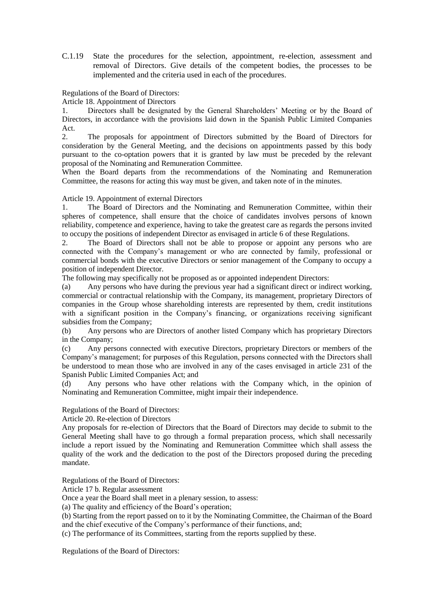C.1.19 State the procedures for the selection, appointment, re-election, assessment and removal of Directors. Give details of the competent bodies, the processes to be implemented and the criteria used in each of the procedures.

### Regulations of the Board of Directors:

Article 18. Appointment of Directors

1. Directors shall be designated by the General Shareholders' Meeting or by the Board of Directors, in accordance with the provisions laid down in the Spanish Public Limited Companies Act.

2. The proposals for appointment of Directors submitted by the Board of Directors for consideration by the General Meeting, and the decisions on appointments passed by this body pursuant to the co-optation powers that it is granted by law must be preceded by the relevant proposal of the Nominating and Remuneration Committee.

When the Board departs from the recommendations of the Nominating and Remuneration Committee, the reasons for acting this way must be given, and taken note of in the minutes.

#### Article 19. Appointment of external Directors

1. The Board of Directors and the Nominating and Remuneration Committee, within their spheres of competence, shall ensure that the choice of candidates involves persons of known reliability, competence and experience, having to take the greatest care as regards the persons invited to occupy the positions of independent Director as envisaged in article 6 of these Regulations.

2. The Board of Directors shall not be able to propose or appoint any persons who are connected with the Company's management or who are connected by family, professional or commercial bonds with the executive Directors or senior management of the Company to occupy a position of independent Director.

The following may specifically not be proposed as or appointed independent Directors:

(a) Any persons who have during the previous year had a significant direct or indirect working, commercial or contractual relationship with the Company, its management, proprietary Directors of companies in the Group whose shareholding interests are represented by them, credit institutions with a significant position in the Company's financing, or organizations receiving significant subsidies from the Company;

(b) Any persons who are Directors of another listed Company which has proprietary Directors in the Company;

(c) Any persons connected with executive Directors, proprietary Directors or members of the Company's management; for purposes of this Regulation, persons connected with the Directors shall be understood to mean those who are involved in any of the cases envisaged in article 231 of the Spanish Public Limited Companies Act; and

(d) Any persons who have other relations with the Company which, in the opinion of Nominating and Remuneration Committee, might impair their independence.

Regulations of the Board of Directors:

Article 20. Re-election of Directors

Any proposals for re-election of Directors that the Board of Directors may decide to submit to the General Meeting shall have to go through a formal preparation process, which shall necessarily include a report issued by the Nominating and Remuneration Committee which shall assess the quality of the work and the dedication to the post of the Directors proposed during the preceding mandate.

Regulations of the Board of Directors:

Article 17 b. Regular assessment

Once a year the Board shall meet in a plenary session, to assess:

(a) The quality and efficiency of the Board's operation;

(b) Starting from the report passed on to it by the Nominating Committee, the Chairman of the Board and the chief executive of the Company's performance of their functions, and;

(c) The performance of its Committees, starting from the reports supplied by these.

Regulations of the Board of Directors: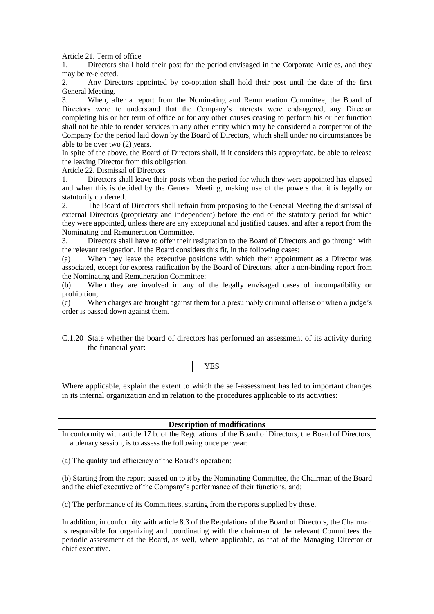Article 21. Term of office

1. Directors shall hold their post for the period envisaged in the Corporate Articles, and they may be re-elected.

2. Any Directors appointed by co-optation shall hold their post until the date of the first General Meeting.

3. When, after a report from the Nominating and Remuneration Committee, the Board of Directors were to understand that the Company's interests were endangered, any Director completing his or her term of office or for any other causes ceasing to perform his or her function shall not be able to render services in any other entity which may be considered a competitor of the Company for the period laid down by the Board of Directors, which shall under no circumstances be able to be over two (2) years.

In spite of the above, the Board of Directors shall, if it considers this appropriate, be able to release the leaving Director from this obligation.

Article 22. Dismissal of Directors

1. Directors shall leave their posts when the period for which they were appointed has elapsed and when this is decided by the General Meeting, making use of the powers that it is legally or statutorily conferred.

2. The Board of Directors shall refrain from proposing to the General Meeting the dismissal of external Directors (proprietary and independent) before the end of the statutory period for which they were appointed, unless there are any exceptional and justified causes, and after a report from the Nominating and Remuneration Committee.

3. Directors shall have to offer their resignation to the Board of Directors and go through with the relevant resignation, if the Board considers this fit, in the following cases:

(a) When they leave the executive positions with which their appointment as a Director was associated, except for express ratification by the Board of Directors, after a non-binding report from the Nominating and Remuneration Committee;

(b) When they are involved in any of the legally envisaged cases of incompatibility or prohibition;

(c) When charges are brought against them for a presumably criminal offense or when a judge's order is passed down against them.

C.1.20 State whether the board of directors has performed an assessment of its activity during the financial year:

#### YES

Where applicable, explain the extent to which the self-assessment has led to important changes in its internal organization and in relation to the procedures applicable to its activities:

**Description of modifications**

In conformity with article 17 b. of the Regulations of the Board of Directors, the Board of Directors, in a plenary session, is to assess the following once per year:

(a) The quality and efficiency of the Board's operation;

(b) Starting from the report passed on to it by the Nominating Committee, the Chairman of the Board and the chief executive of the Company's performance of their functions, and;

(c) The performance of its Committees, starting from the reports supplied by these.

In addition, in conformity with article 8.3 of the Regulations of the Board of Directors, the Chairman is responsible for organizing and coordinating with the chairmen of the relevant Committees the periodic assessment of the Board, as well, where applicable, as that of the Managing Director or chief executive.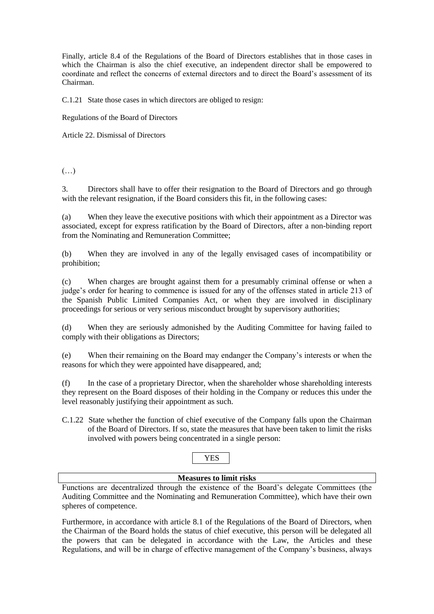Finally, article 8.4 of the Regulations of the Board of Directors establishes that in those cases in which the Chairman is also the chief executive, an independent director shall be empowered to coordinate and reflect the concerns of external directors and to direct the Board's assessment of its Chairman.

C.1.21 State those cases in which directors are obliged to resign:

Regulations of the Board of Directors

Article 22. Dismissal of Directors

(…)

3. Directors shall have to offer their resignation to the Board of Directors and go through with the relevant resignation, if the Board considers this fit, in the following cases:

(a) When they leave the executive positions with which their appointment as a Director was associated, except for express ratification by the Board of Directors, after a non-binding report from the Nominating and Remuneration Committee;

(b) When they are involved in any of the legally envisaged cases of incompatibility or prohibition;

(c) When charges are brought against them for a presumably criminal offense or when a judge's order for hearing to commence is issued for any of the offenses stated in article 213 of the Spanish Public Limited Companies Act, or when they are involved in disciplinary proceedings for serious or very serious misconduct brought by supervisory authorities;

(d) When they are seriously admonished by the Auditing Committee for having failed to comply with their obligations as Directors;

(e) When their remaining on the Board may endanger the Company's interests or when the reasons for which they were appointed have disappeared, and;

(f) In the case of a proprietary Director, when the shareholder whose shareholding interests they represent on the Board disposes of their holding in the Company or reduces this under the level reasonably justifying their appointment as such.

C.1.22 State whether the function of chief executive of the Company falls upon the Chairman of the Board of Directors. If so, state the measures that have been taken to limit the risks involved with powers being concentrated in a single person:

# YES

#### **Measures to limit risks**

Functions are decentralized through the existence of the Board's delegate Committees (the Auditing Committee and the Nominating and Remuneration Committee), which have their own spheres of competence.

Furthermore, in accordance with article 8.1 of the Regulations of the Board of Directors, when the Chairman of the Board holds the status of chief executive, this person will be delegated all the powers that can be delegated in accordance with the Law, the Articles and these Regulations, and will be in charge of effective management of the Company's business, always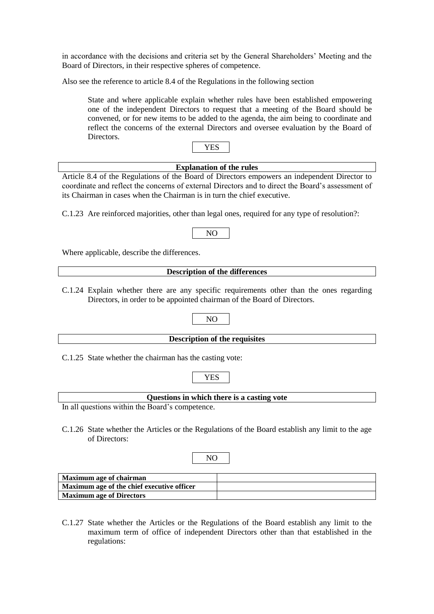in accordance with the decisions and criteria set by the General Shareholders' Meeting and the Board of Directors, in their respective spheres of competence.

Also see the reference to article 8.4 of the Regulations in the following section

State and where applicable explain whether rules have been established empowering one of the independent Directors to request that a meeting of the Board should be convened, or for new items to be added to the agenda, the aim being to coordinate and reflect the concerns of the external Directors and oversee evaluation by the Board of **Directors** 

| . . |
|-----|
|-----|

# **Explanation of the rules**

Article 8.4 of the Regulations of the Board of Directors empowers an independent Director to coordinate and reflect the concerns of external Directors and to direct the Board's assessment of its Chairman in cases when the Chairman is in turn the chief executive.

C.1.23 Are reinforced majorities, other than legal ones, required for any type of resolution?:

# NO

Where applicable, describe the differences.

#### **Description of the differences**

C.1.24 Explain whether there are any specific requirements other than the ones regarding Directors, in order to be appointed chairman of the Board of Directors.

#### **Description of the requisites**

NO

C.1.25 State whether the chairman has the casting vote:

# **Questions in which there is a casting vote**

YES

In all questions within the Board's competence.

C.1.26 State whether the Articles or the Regulations of the Board establish any limit to the age of Directors:

| .,<br>۰. |  |
|----------|--|
|          |  |

| Maximum age of chairman                    |  |
|--------------------------------------------|--|
| Maximum age of the chief executive officer |  |
| <b>Maximum age of Directors</b>            |  |

C.1.27 State whether the Articles or the Regulations of the Board establish any limit to the maximum term of office of independent Directors other than that established in the regulations: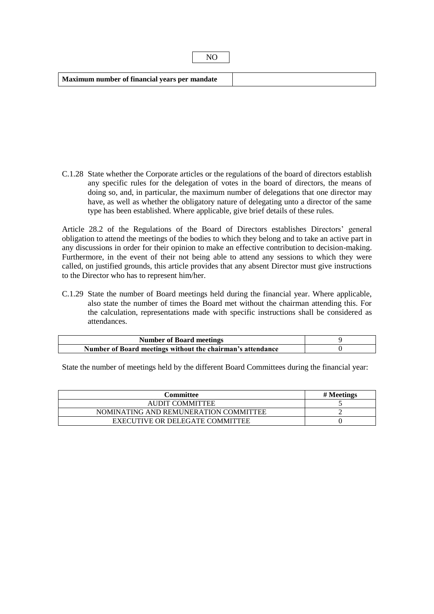| Maximum number of financial years per mandate |  |
|-----------------------------------------------|--|
|                                               |  |

NO

C.1.28 State whether the Corporate articles or the regulations of the board of directors establish any specific rules for the delegation of votes in the board of directors, the means of doing so, and, in particular, the maximum number of delegations that one director may have, as well as whether the obligatory nature of delegating unto a director of the same type has been established. Where applicable, give brief details of these rules.

Article 28.2 of the Regulations of the Board of Directors establishes Directors' general obligation to attend the meetings of the bodies to which they belong and to take an active part in any discussions in order for their opinion to make an effective contribution to decision-making. Furthermore, in the event of their not being able to attend any sessions to which they were called, on justified grounds, this article provides that any absent Director must give instructions to the Director who has to represent him/her.

C.1.29 State the number of Board meetings held during the financial year. Where applicable, also state the number of times the Board met without the chairman attending this. For the calculation, representations made with specific instructions shall be considered as attendances.

| <b>Number of Board meetings</b>                            |  |
|------------------------------------------------------------|--|
| Number of Board meetings without the chairman's attendance |  |

State the number of meetings held by the different Board Committees during the financial year:

| Committee                             | # Meetings |
|---------------------------------------|------------|
| AUDIT COMMITTEE                       |            |
| NOMINATING AND REMUNERATION COMMITTEE |            |
| EXECUTIVE OR DELEGATE COMMITTEE       |            |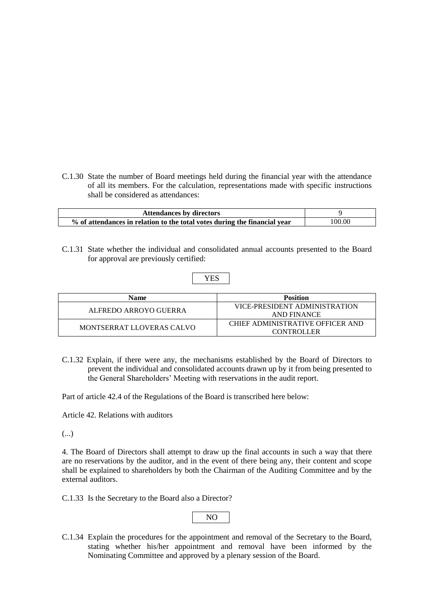C.1.30 State the number of Board meetings held during the financial year with the attendance of all its members. For the calculation, representations made with specific instructions shall be considered as attendances:

| <b>Attendances by directors</b>                                           |        |
|---------------------------------------------------------------------------|--------|
| % of attendances in relation to the total votes during the financial year | 100.00 |

C.1.31 State whether the individual and consolidated annual accounts presented to the Board for approval are previously certified:

# YES

| <b>Name</b>               | <b>Position</b>                  |
|---------------------------|----------------------------------|
| ALFREDO ARROYO GUERRA     | VICE-PRESIDENT ADMINISTRATION    |
|                           | AND FINANCE                      |
| MONTSERRAT LLOVERAS CALVO | CHIEF ADMINISTRATIVE OFFICER AND |
|                           | <b>CONTROLLER</b>                |

C.1.32 Explain, if there were any, the mechanisms established by the Board of Directors to prevent the individual and consolidated accounts drawn up by it from being presented to the General Shareholders' Meeting with reservations in the audit report.

Part of article 42.4 of the Regulations of the Board is transcribed here below:

Article 42. Relations with auditors

(...)

4. The Board of Directors shall attempt to draw up the final accounts in such a way that there are no reservations by the auditor, and in the event of there being any, their content and scope shall be explained to shareholders by both the Chairman of the Auditing Committee and by the external auditors.

C.1.33 Is the Secretary to the Board also a Director?

|--|

C.1.34 Explain the procedures for the appointment and removal of the Secretary to the Board, stating whether his/her appointment and removal have been informed by the Nominating Committee and approved by a plenary session of the Board.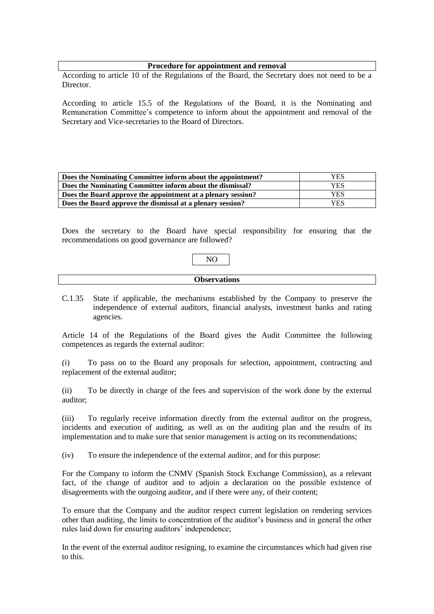#### **Procedure for appointment and removal**

According to article 10 of the Regulations of the Board, the Secretary does not need to be a Director.

According to article 15.5 of the Regulations of the Board, it is the Nominating and Remuneration Committee's competence to inform about the appointment and removal of the Secretary and Vice-secretaries to the Board of Directors.

| Does the Nominating Committee inform about the appointment?  | YES |
|--------------------------------------------------------------|-----|
| Does the Nominating Committee inform about the dismissal?    | YES |
| Does the Board approve the appointment at a plenary session? | YES |
| Does the Board approve the dismissal at a plenary session?   | YES |

Does the secretary to the Board have special responsibility for ensuring that the recommendations on good governance are followed?

C.1.35 State if applicable, the mechanisms established by the Company to preserve the independence of external auditors, financial analysts, investment banks and rating agencies.

Article 14 of the Regulations of the Board gives the Audit Committee the following competences as regards the external auditor:

(i) To pass on to the Board any proposals for selection, appointment, contracting and replacement of the external auditor;

(ii) To be directly in charge of the fees and supervision of the work done by the external auditor;

(iii) To regularly receive information directly from the external auditor on the progress, incidents and execution of auditing, as well as on the auditing plan and the results of its implementation and to make sure that senior management is acting on its recommendations;

(iv) To ensure the independence of the external auditor, and for this purpose:

For the Company to inform the CNMV (Spanish Stock Exchange Commission), as a relevant fact, of the change of auditor and to adjoin a declaration on the possible existence of disagreements with the outgoing auditor, and if there were any, of their content;

To ensure that the Company and the auditor respect current legislation on rendering services other than auditing, the limits to concentration of the auditor's business and in general the other rules laid down for ensuring auditors' independence;

In the event of the external auditor resigning, to examine the circumstances which had given rise to this.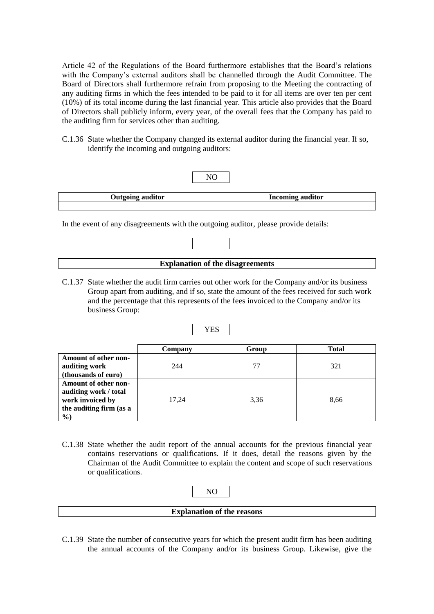Article 42 of the Regulations of the Board furthermore establishes that the Board's relations with the Company's external auditors shall be channelled through the Audit Committee. The Board of Directors shall furthermore refrain from proposing to the Meeting the contracting of any auditing firms in which the fees intended to be paid to it for all items are over ten per cent (10%) of its total income during the last financial year. This article also provides that the Board of Directors shall publicly inform, every year, of the overall fees that the Company has paid to the auditing firm for services other than auditing.

C.1.36 State whether the Company changed its external auditor during the financial year. If so, identify the incoming and outgoing auditors:



In the event of any disagreements with the outgoing auditor, please provide details:



C.1.37 State whether the audit firm carries out other work for the Company and/or its business Group apart from auditing, and if so, state the amount of the fees received for such work and the percentage that this represents of the fees invoiced to the Company and/or its business Group:

|                         | ---     |       |              |
|-------------------------|---------|-------|--------------|
|                         | Company | Group | <b>Total</b> |
| Amount of other non-    |         |       |              |
| auditing work           | 244     | 77    | 321          |
| (thousands of euro)     |         |       |              |
| Amount of other non-    |         |       |              |
| auditing work / total   |         |       |              |
| work invoiced by        | 17,24   | 3,36  | 8,66         |
| the auditing firm (as a |         |       |              |
| $\%$                    |         |       |              |

C.1.38 State whether the audit report of the annual accounts for the previous financial year contains reservations or qualifications. If it does, detail the reasons given by the Chairman of the Audit Committee to explain the content and scope of such reservations or qualifications.

| <b>Explanation of the reasons</b> |  |
|-----------------------------------|--|

C.1.39 State the number of consecutive years for which the present audit firm has been auditing the annual accounts of the Company and/or its business Group. Likewise, give the

# YES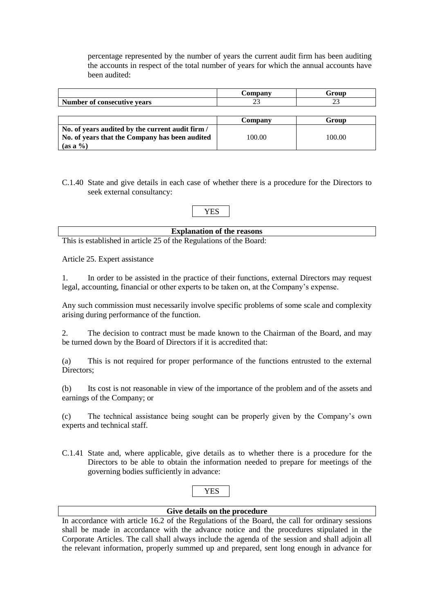percentage represented by the number of years the current audit firm has been auditing the accounts in respect of the total number of years for which the annual accounts have been audited:

|                                                  | Company | Group  |
|--------------------------------------------------|---------|--------|
| Number of consecutive vears                      |         |        |
|                                                  |         |        |
|                                                  | Company | Group  |
| No. of years audited by the current audit firm / |         |        |
| No. of years that the Company has been audited   | 100.00  | 100.00 |
| $(as a \%)$                                      |         |        |

C.1.40 State and give details in each case of whether there is a procedure for the Directors to seek external consultancy:

YES

### **Explanation of the reasons**

This is established in article 25 of the Regulations of the Board:

Article 25. Expert assistance

1. In order to be assisted in the practice of their functions, external Directors may request legal, accounting, financial or other experts to be taken on, at the Company's expense.

Any such commission must necessarily involve specific problems of some scale and complexity arising during performance of the function.

2. The decision to contract must be made known to the Chairman of the Board, and may be turned down by the Board of Directors if it is accredited that:

(a) This is not required for proper performance of the functions entrusted to the external Directors;

(b) Its cost is not reasonable in view of the importance of the problem and of the assets and earnings of the Company; or

(c) The technical assistance being sought can be properly given by the Company's own experts and technical staff.

C.1.41 State and, where applicable, give details as to whether there is a procedure for the Directors to be able to obtain the information needed to prepare for meetings of the governing bodies sufficiently in advance:

# YES

# **Give details on the procedure**

In accordance with article 16.2 of the Regulations of the Board, the call for ordinary sessions shall be made in accordance with the advance notice and the procedures stipulated in the Corporate Articles. The call shall always include the agenda of the session and shall adjoin all the relevant information, properly summed up and prepared, sent long enough in advance for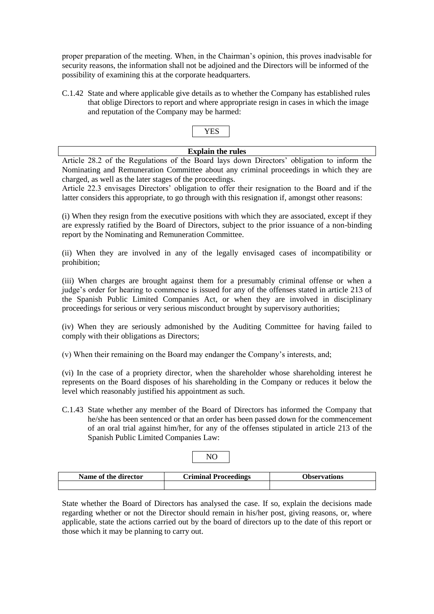proper preparation of the meeting. When, in the Chairman's opinion, this proves inadvisable for security reasons, the information shall not be adjoined and the Directors will be informed of the possibility of examining this at the corporate headquarters.

C.1.42 State and where applicable give details as to whether the Company has established rules that oblige Directors to report and where appropriate resign in cases in which the image and reputation of the Company may be harmed:

### **Explain the rules**

Article 28.2 of the Regulations of the Board lays down Directors' obligation to inform the Nominating and Remuneration Committee about any criminal proceedings in which they are charged, as well as the later stages of the proceedings.

Article 22.3 envisages Directors' obligation to offer their resignation to the Board and if the latter considers this appropriate, to go through with this resignation if, amongst other reasons:

(i) When they resign from the executive positions with which they are associated, except if they are expressly ratified by the Board of Directors, subject to the prior issuance of a non-binding report by the Nominating and Remuneration Committee.

(ii) When they are involved in any of the legally envisaged cases of incompatibility or prohibition;

(iii) When charges are brought against them for a presumably criminal offense or when a judge's order for hearing to commence is issued for any of the offenses stated in article 213 of the Spanish Public Limited Companies Act, or when they are involved in disciplinary proceedings for serious or very serious misconduct brought by supervisory authorities;

(iv) When they are seriously admonished by the Auditing Committee for having failed to comply with their obligations as Directors;

(v) When their remaining on the Board may endanger the Company's interests, and;

(vi) In the case of a propriety director, when the shareholder whose shareholding interest he represents on the Board disposes of his shareholding in the Company or reduces it below the level which reasonably justified his appointment as such.

C.1.43 State whether any member of the Board of Directors has informed the Company that he/she has been sentenced or that an order has been passed down for the commencement of an oral trial against him/her, for any of the offenses stipulated in article 213 of the Spanish Public Limited Companies Law:

|--|

| Name of the director | <b>Criminal Proceedings</b> | Observations |
|----------------------|-----------------------------|--------------|
|                      |                             |              |

State whether the Board of Directors has analysed the case. If so, explain the decisions made regarding whether or not the Director should remain in his/her post, giving reasons, or, where applicable, state the actions carried out by the board of directors up to the date of this report or those which it may be planning to carry out.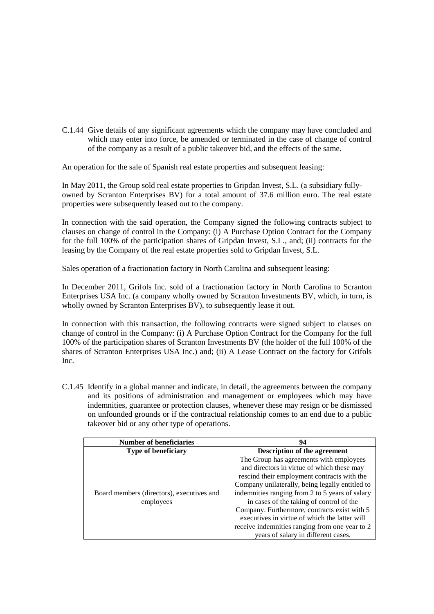C.1.44 Give details of any significant agreements which the company may have concluded and which may enter into force, be amended or terminated in the case of change of control of the company as a result of a public takeover bid, and the effects of the same.

An operation for the sale of Spanish real estate properties and subsequent leasing:

In May 2011, the Group sold real estate properties to Gripdan Invest, S.L. (a subsidiary fullyowned by Scranton Enterprises BV) for a total amount of 37.6 million euro. The real estate properties were subsequently leased out to the company.

In connection with the said operation, the Company signed the following contracts subject to clauses on change of control in the Company: (i) A Purchase Option Contract for the Company for the full 100% of the participation shares of Gripdan Invest, S.L., and; (ii) contracts for the leasing by the Company of the real estate properties sold to Gripdan Invest, S.L.

Sales operation of a fractionation factory in North Carolina and subsequent leasing:

In December 2011, Grifols Inc. sold of a fractionation factory in North Carolina to Scranton Enterprises USA Inc. (a company wholly owned by Scranton Investments BV, which, in turn, is wholly owned by Scranton Enterprises BV), to subsequently lease it out.

In connection with this transaction, the following contracts were signed subject to clauses on change of control in the Company: (i) A Purchase Option Contract for the Company for the full 100% of the participation shares of Scranton Investments BV (the holder of the full 100% of the shares of Scranton Enterprises USA Inc.) and; (ii) A Lease Contract on the factory for Grifols Inc.

C.1.45 Identify in a global manner and indicate, in detail, the agreements between the company and its positions of administration and management or employees which may have indemnities, guarantee or protection clauses, whenever these may resign or be dismissed on unfounded grounds or if the contractual relationship comes to an end due to a public takeover bid or any other type of operations.

| <b>Number of beneficiaries</b>                         | 94                                                                                                                                                                                                                                                                                                                                                                                                                                                                               |
|--------------------------------------------------------|----------------------------------------------------------------------------------------------------------------------------------------------------------------------------------------------------------------------------------------------------------------------------------------------------------------------------------------------------------------------------------------------------------------------------------------------------------------------------------|
| <b>Type of beneficiary</b>                             | <b>Description of the agreement</b>                                                                                                                                                                                                                                                                                                                                                                                                                                              |
| Board members (directors), executives and<br>employees | The Group has agreements with employees<br>and directors in virtue of which these may<br>rescind their employment contracts with the<br>Company unilaterally, being legally entitled to<br>indemnities ranging from 2 to 5 years of salary<br>in cases of the taking of control of the<br>Company. Furthermore, contracts exist with 5<br>executives in virtue of which the latter will<br>receive indemnities ranging from one year to 2<br>years of salary in different cases. |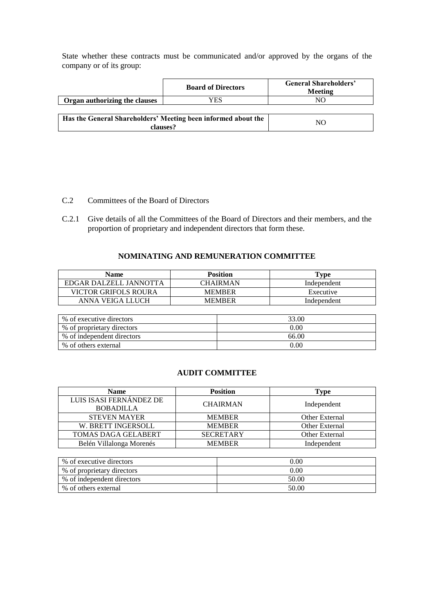State whether these contracts must be communicated and/or approved by the organs of the company or of its group:

|                                                                           | <b>Board of Directors</b> | <b>General Shareholders'</b><br>Meeting |
|---------------------------------------------------------------------------|---------------------------|-----------------------------------------|
| Organ authorizing the clauses                                             | YES                       | NC                                      |
|                                                                           |                           |                                         |
| Has the General Shareholders' Meeting been informed about the<br>clauses? | NO                        |                                         |

- C.2 Committees of the Board of Directors
- C.2.1 Give details of all the Committees of the Board of Directors and their members, and the proportion of proprietary and independent directors that form these.

#### **NOMINATING AND REMUNERATION COMMITTEE**

| Name                   | <b>Position</b> | ''vpe       |
|------------------------|-----------------|-------------|
| EDGAR DALZELL JANNOTTA | CHAIRMAN        | Independent |
| VICTOR GRIFOLS ROURA   | <b>MEMBER</b>   | Executive   |
| ANNA VEIGA LLUCH       | <b>MEMBER</b>   | Independent |

| % of executive directors   | 33.00    |
|----------------------------|----------|
| % of proprietary directors | 0.00     |
| % of independent directors | 66.00    |
| % of others external       | $0.00\,$ |

#### **AUDIT COMMITTEE**

| <b>Name</b>              | <b>Position</b>  | Type           |  |
|--------------------------|------------------|----------------|--|
| LUIS ISASI FERNÁNDEZ DE  | <b>CHAIRMAN</b>  |                |  |
| <b>BOBADILLA</b>         |                  | Independent    |  |
| <b>STEVEN MAYER</b>      | <b>MEMBER</b>    | Other External |  |
| W. BRETT INGERSOLL       | <b>MEMBER</b>    | Other External |  |
| TOMAS DAGA GELABERT      | <b>SECRETARY</b> | Other External |  |
| Belén Villalonga Morenés | <b>MEMBER</b>    | Independent    |  |

| % of executive directors   | $0.00\,$ |
|----------------------------|----------|
| % of proprietary directors | 0.00     |
| % of independent directors | 50.00    |
| % of others external       | 50.00    |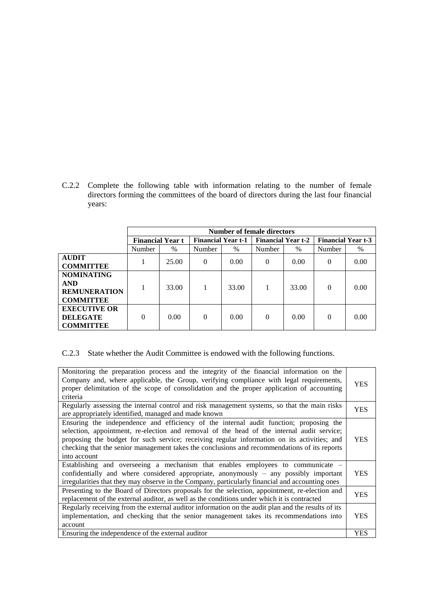C.2.2 Complete the following table with information relating to the number of female directors forming the committees of the board of directors during the last four financial years:

|                                                                            | <b>Number of female directors</b> |       |                           |       |                           |       |                           |      |
|----------------------------------------------------------------------------|-----------------------------------|-------|---------------------------|-------|---------------------------|-------|---------------------------|------|
|                                                                            | <b>Financial Year t</b>           |       | <b>Financial Year t-1</b> |       | <b>Financial Year t-2</b> |       | <b>Financial Year t-3</b> |      |
|                                                                            | Number                            | $\%$  | Number                    | $\%$  | Number                    | $\%$  | Number                    | $\%$ |
| <b>AUDIT</b><br><b>COMMITTEE</b>                                           |                                   | 25.00 | $\Omega$                  | 0.00  | 0                         | 0.00  | $\Omega$                  | 0.00 |
| <b>NOMINATING</b><br><b>AND</b><br><b>REMUNERATION</b><br><b>COMMITTEE</b> |                                   | 33.00 |                           | 33.00 |                           | 33.00 | $\Omega$                  | 0.00 |
| <b>EXECUTIVE OR</b><br><b>DELEGATE</b><br><b>COMMITTEE</b>                 | $\Omega$                          | 0.00  | $\Omega$                  | 0.00  | 0                         | 0.00  | $\Omega$                  | 0.00 |

# C.2.3 State whether the Audit Committee is endowed with the following functions.

| Monitoring the preparation process and the integrity of the financial information on the<br>Company and, where applicable, the Group, verifying compliance with legal requirements,<br>proper delimitation of the scope of consolidation and the proper application of accounting<br>criteria                                                                                                       | <b>YES</b> |
|-----------------------------------------------------------------------------------------------------------------------------------------------------------------------------------------------------------------------------------------------------------------------------------------------------------------------------------------------------------------------------------------------------|------------|
| Regularly assessing the internal control and risk management systems, so that the main risks<br>are appropriately identified, managed and made known                                                                                                                                                                                                                                                | YES        |
| Ensuring the independence and efficiency of the internal audit function; proposing the<br>selection, appointment, re-election and removal of the head of the internal audit service;<br>proposing the budget for such service; receiving regular information on its activities; and<br>checking that the senior management takes the conclusions and recommendations of its reports<br>into account | YES        |
| Establishing and overseeing a mechanism that enables employees to communicate –<br>confidentially and where considered appropriate, anonymously - any possibly important<br>irregularities that they may observe in the Company, particularly financial and accounting ones                                                                                                                         | YES        |
| Presenting to the Board of Directors proposals for the selection, appointment, re-election and<br>replacement of the external auditor, as well as the conditions under which it is contracted                                                                                                                                                                                                       | <b>YES</b> |
| Regularly receiving from the external auditor information on the audit plan and the results of its<br>implementation, and checking that the senior management takes its recommendations into<br>account                                                                                                                                                                                             | YES        |
| Ensuring the independence of the external auditor                                                                                                                                                                                                                                                                                                                                                   | YES        |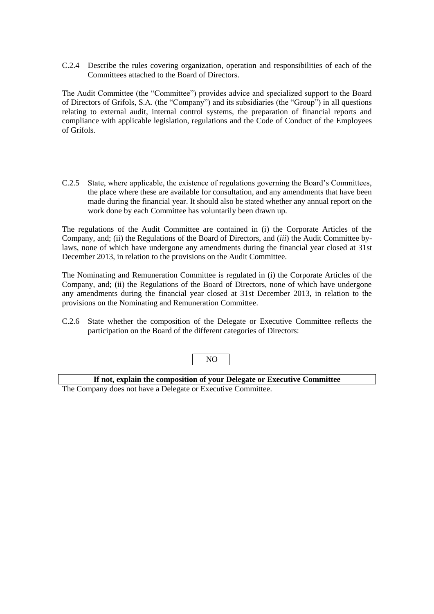C.2.4 Describe the rules covering organization, operation and responsibilities of each of the Committees attached to the Board of Directors.

The Audit Committee (the "Committee") provides advice and specialized support to the Board of Directors of Grifols, S.A. (the "Company") and its subsidiaries (the "Group") in all questions relating to external audit, internal control systems, the preparation of financial reports and compliance with applicable legislation, regulations and the Code of Conduct of the Employees of Grifols.

C.2.5 State, where applicable, the existence of regulations governing the Board's Committees, the place where these are available for consultation, and any amendments that have been made during the financial year. It should also be stated whether any annual report on the work done by each Committee has voluntarily been drawn up.

The regulations of the Audit Committee are contained in (i) the Corporate Articles of the Company, and; (ii) the Regulations of the Board of Directors, and (*iii*) the Audit Committee bylaws, none of which have undergone any amendments during the financial year closed at 31st December 2013, in relation to the provisions on the Audit Committee.

The Nominating and Remuneration Committee is regulated in (i) the Corporate Articles of the Company, and; (ii) the Regulations of the Board of Directors, none of which have undergone any amendments during the financial year closed at 31st December 2013, in relation to the provisions on the Nominating and Remuneration Committee.

C.2.6 State whether the composition of the Delegate or Executive Committee reflects the participation on the Board of the different categories of Directors:

# NO **If not, explain the composition of your Delegate or Executive Committee** The Company does not have a Delegate or Executive Committee.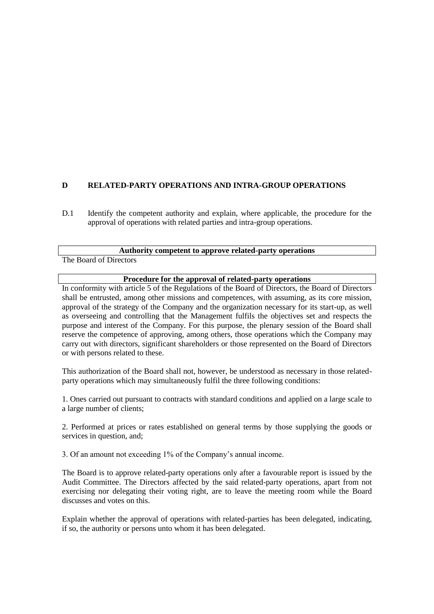# **D RELATED-PARTY OPERATIONS AND INTRA-GROUP OPERATIONS**

D.1 Identify the competent authority and explain, where applicable, the procedure for the approval of operations with related parties and intra-group operations.

#### **Authority competent to approve related-party operations**

The Board of Directors

#### **Procedure for the approval of related-party operations**

In conformity with article 5 of the Regulations of the Board of Directors, the Board of Directors shall be entrusted, among other missions and competences, with assuming, as its core mission, approval of the strategy of the Company and the organization necessary for its start-up, as well as overseeing and controlling that the Management fulfils the objectives set and respects the purpose and interest of the Company. For this purpose, the plenary session of the Board shall reserve the competence of approving, among others, those operations which the Company may carry out with directors, significant shareholders or those represented on the Board of Directors or with persons related to these.

This authorization of the Board shall not, however, be understood as necessary in those relatedparty operations which may simultaneously fulfil the three following conditions:

1. Ones carried out pursuant to contracts with standard conditions and applied on a large scale to a large number of clients;

2. Performed at prices or rates established on general terms by those supplying the goods or services in question, and:

3. Of an amount not exceeding 1% of the Company's annual income.

The Board is to approve related-party operations only after a favourable report is issued by the Audit Committee. The Directors affected by the said related-party operations, apart from not exercising nor delegating their voting right, are to leave the meeting room while the Board discusses and votes on this.

Explain whether the approval of operations with related-parties has been delegated, indicating, if so, the authority or persons unto whom it has been delegated.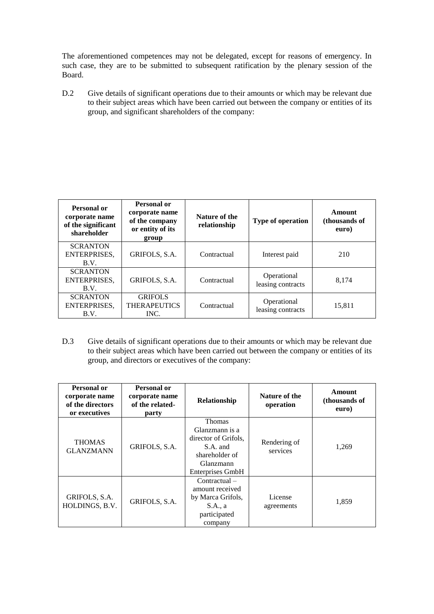The aforementioned competences may not be delegated, except for reasons of emergency. In such case, they are to be submitted to subsequent ratification by the plenary session of the Board.

D.2 Give details of significant operations due to their amounts or which may be relevant due to their subject areas which have been carried out between the company or entities of its group, and significant shareholders of the company:

| Personal or<br>corporate name<br>of the significant<br>shareholder | Personal or<br>corporate name<br>of the company<br>or entity of its<br>group | Nature of the<br>relationship | <b>Type of operation</b>         | Amount<br>(thousands of<br>euro) |
|--------------------------------------------------------------------|------------------------------------------------------------------------------|-------------------------------|----------------------------------|----------------------------------|
| <b>SCRANTON</b><br>ENTERPRISES,<br>B.V.                            | GRIFOLS, S.A.                                                                | Contractual                   | Interest paid                    | 210                              |
| <b>SCRANTON</b><br>ENTERPRISES.<br>B.V.                            | GRIFOLS, S.A.                                                                | Contractual                   | Operational<br>leasing contracts | 8.174                            |
| <b>SCRANTON</b><br>ENTERPRISES.<br>B.V.                            | <b>GRIFOLS</b><br><b>THERAPEUTICS</b><br>INC.                                | Contractual                   | Operational<br>leasing contracts | 15,811                           |

D.3 Give details of significant operations due to their amounts or which may be relevant due to their subject areas which have been carried out between the company or entities of its group, and directors or executives of the company:

| Personal or<br>corporate name<br>of the directors<br>or executives | Personal or<br>corporate name<br>of the related-<br>party | Relationship                                                                                                           | Nature of the<br>operation | Amount<br>(thousands of<br>euro) |
|--------------------------------------------------------------------|-----------------------------------------------------------|------------------------------------------------------------------------------------------------------------------------|----------------------------|----------------------------------|
| <b>THOMAS</b><br><b>GLANZMANN</b>                                  | GRIFOLS, S.A.                                             | <b>Thomas</b><br>Glanzmann is a<br>director of Grifols,<br>S.A. and<br>shareholder of<br>Glanzmann<br>Enterprises GmbH | Rendering of<br>services   | 1.269                            |
| GRIFOLS, S.A.<br>HOLDINGS, B.V.                                    | GRIFOLS, S.A.                                             | Contractual –<br>amount received<br>by Marca Grifols,<br>S.A., a<br>participated<br>company                            | License<br>agreements      | 1,859                            |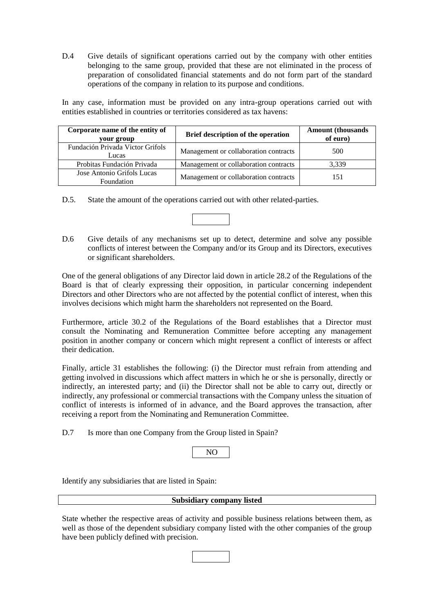D.4 Give details of significant operations carried out by the company with other entities belonging to the same group, provided that these are not eliminated in the process of preparation of consolidated financial statements and do not form part of the standard operations of the company in relation to its purpose and conditions.

In any case, information must be provided on any intra-group operations carried out with entities established in countries or territories considered as tax havens:

| Corporate name of the entity of<br>your group   | Brief description of the operation    | <b>Amount</b> (thousands<br>of euro) |
|-------------------------------------------------|---------------------------------------|--------------------------------------|
| Fundación Privada Victor Grifols<br>Lucas       | Management or collaboration contracts | 500                                  |
| Probitas Fundación Privada                      | Management or collaboration contracts | 3,339                                |
| Jose Antonio Grifols Lucas<br><b>Foundation</b> | Management or collaboration contracts | 151                                  |

- D.5. State the amount of the operations carried out with other related-parties.
- D.6 Give details of any mechanisms set up to detect, determine and solve any possible conflicts of interest between the Company and/or its Group and its Directors, executives or significant shareholders.

One of the general obligations of any Director laid down in article 28.2 of the Regulations of the Board is that of clearly expressing their opposition, in particular concerning independent Directors and other Directors who are not affected by the potential conflict of interest, when this involves decisions which might harm the shareholders not represented on the Board.

Furthermore, article 30.2 of the Regulations of the Board establishes that a Director must consult the Nominating and Remuneration Committee before accepting any management position in another company or concern which might represent a conflict of interests or affect their dedication.

Finally, article 31 establishes the following: (i) the Director must refrain from attending and getting involved in discussions which affect matters in which he or she is personally, directly or indirectly, an interested party; and (ii) the Director shall not be able to carry out, directly or indirectly, any professional or commercial transactions with the Company unless the situation of conflict of interests is informed of in advance, and the Board approves the transaction, after receiving a report from the Nominating and Remuneration Committee.

D.7 Is more than one Company from the Group listed in Spain?

Identify any subsidiaries that are listed in Spain:

#### **Subsidiary company listed**

State whether the respective areas of activity and possible business relations between them, as well as those of the dependent subsidiary company listed with the other companies of the group have been publicly defined with precision.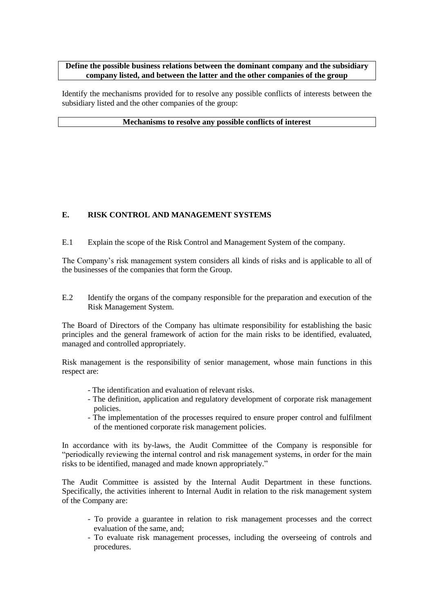#### **Define the possible business relations between the dominant company and the subsidiary company listed, and between the latter and the other companies of the group**

Identify the mechanisms provided for to resolve any possible conflicts of interests between the subsidiary listed and the other companies of the group:

#### **Mechanisms to resolve any possible conflicts of interest**

# **E. RISK CONTROL AND MANAGEMENT SYSTEMS**

E.1 Explain the scope of the Risk Control and Management System of the company.

The Company's risk management system considers all kinds of risks and is applicable to all of the businesses of the companies that form the Group.

E.2 Identify the organs of the company responsible for the preparation and execution of the Risk Management System.

The Board of Directors of the Company has ultimate responsibility for establishing the basic principles and the general framework of action for the main risks to be identified, evaluated, managed and controlled appropriately.

Risk management is the responsibility of senior management, whose main functions in this respect are:

- The identification and evaluation of relevant risks.
- The definition, application and regulatory development of corporate risk management policies.
- The implementation of the processes required to ensure proper control and fulfilment of the mentioned corporate risk management policies.

In accordance with its by-laws, the Audit Committee of the Company is responsible for "periodically reviewing the internal control and risk management systems, in order for the main risks to be identified, managed and made known appropriately."

The Audit Committee is assisted by the Internal Audit Department in these functions. Specifically, the activities inherent to Internal Audit in relation to the risk management system of the Company are:

- To provide a guarantee in relation to risk management processes and the correct evaluation of the same, and;
- To evaluate risk management processes, including the overseeing of controls and procedures.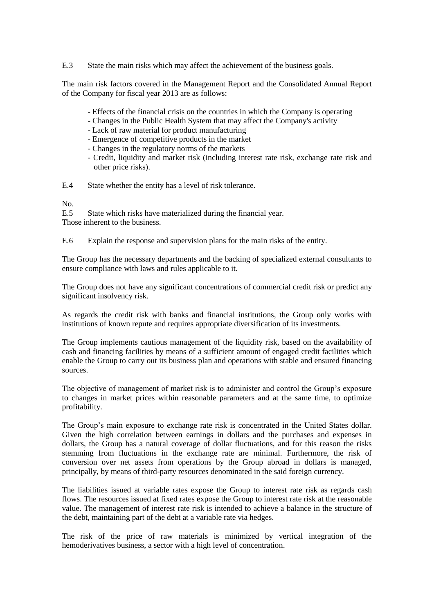E.3 State the main risks which may affect the achievement of the business goals.

The main risk factors covered in the Management Report and the Consolidated Annual Report of the Company for fiscal year 2013 are as follows:

- Effects of the financial crisis on the countries in which the Company is operating
- Changes in the Public Health System that may affect the Company's activity
- Lack of raw material for product manufacturing
- Emergence of competitive products in the market
- Changes in the regulatory norms of the markets
- Credit, liquidity and market risk (including interest rate risk, exchange rate risk and other price risks).
- E.4 State whether the entity has a level of risk tolerance.

No.

E.5 State which risks have materialized during the financial year. Those inherent to the business.

E.6 Explain the response and supervision plans for the main risks of the entity.

The Group has the necessary departments and the backing of specialized external consultants to ensure compliance with laws and rules applicable to it.

The Group does not have any significant concentrations of commercial credit risk or predict any significant insolvency risk.

As regards the credit risk with banks and financial institutions, the Group only works with institutions of known repute and requires appropriate diversification of its investments.

The Group implements cautious management of the liquidity risk, based on the availability of cash and financing facilities by means of a sufficient amount of engaged credit facilities which enable the Group to carry out its business plan and operations with stable and ensured financing sources.

The objective of management of market risk is to administer and control the Group's exposure to changes in market prices within reasonable parameters and at the same time, to optimize profitability.

The Group's main exposure to exchange rate risk is concentrated in the United States dollar. Given the high correlation between earnings in dollars and the purchases and expenses in dollars, the Group has a natural coverage of dollar fluctuations, and for this reason the risks stemming from fluctuations in the exchange rate are minimal. Furthermore, the risk of conversion over net assets from operations by the Group abroad in dollars is managed, principally, by means of third-party resources denominated in the said foreign currency.

The liabilities issued at variable rates expose the Group to interest rate risk as regards cash flows. The resources issued at fixed rates expose the Group to interest rate risk at the reasonable value. The management of interest rate risk is intended to achieve a balance in the structure of the debt, maintaining part of the debt at a variable rate via hedges.

The risk of the price of raw materials is minimized by vertical integration of the hemoderivatives business, a sector with a high level of concentration.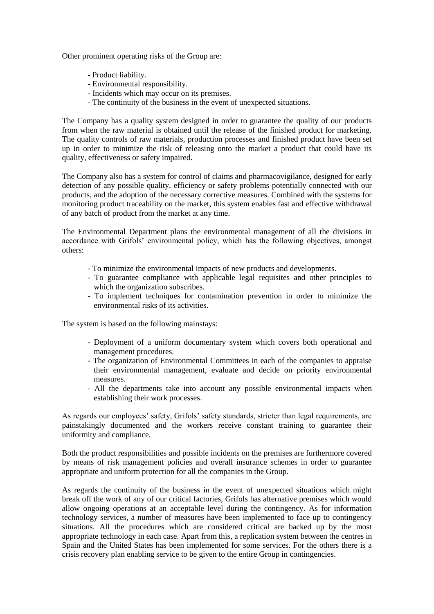Other prominent operating risks of the Group are:

- Product liability.
- Environmental responsibility.
- Incidents which may occur on its premises.
- The continuity of the business in the event of unexpected situations.

The Company has a quality system designed in order to guarantee the quality of our products from when the raw material is obtained until the release of the finished product for marketing. The quality controls of raw materials, production processes and finished product have been set up in order to minimize the risk of releasing onto the market a product that could have its quality, effectiveness or safety impaired.

The Company also has a system for control of claims and pharmacovigilance, designed for early detection of any possible quality, efficiency or safety problems potentially connected with our products, and the adoption of the necessary corrective measures. Combined with the systems for monitoring product traceability on the market, this system enables fast and effective withdrawal of any batch of product from the market at any time.

The Environmental Department plans the environmental management of all the divisions in accordance with Grifols' environmental policy, which has the following objectives, amongst others:

- To minimize the environmental impacts of new products and developments.
- To guarantee compliance with applicable legal requisites and other principles to which the organization subscribes.
- To implement techniques for contamination prevention in order to minimize the environmental risks of its activities.

The system is based on the following mainstays:

- Deployment of a uniform documentary system which covers both operational and management procedures.
- The organization of Environmental Committees in each of the companies to appraise their environmental management, evaluate and decide on priority environmental measures.
- All the departments take into account any possible environmental impacts when establishing their work processes.

As regards our employees' safety, Grifols' safety standards, stricter than legal requirements, are painstakingly documented and the workers receive constant training to guarantee their uniformity and compliance.

Both the product responsibilities and possible incidents on the premises are furthermore covered by means of risk management policies and overall insurance schemes in order to guarantee appropriate and uniform protection for all the companies in the Group.

As regards the continuity of the business in the event of unexpected situations which might break off the work of any of our critical factories, Grifols has alternative premises which would allow ongoing operations at an acceptable level during the contingency. As for information technology services, a number of measures have been implemented to face up to contingency situations. All the procedures which are considered critical are backed up by the most appropriate technology in each case. Apart from this, a replication system between the centres in Spain and the United States has been implemented for some services. For the others there is a crisis recovery plan enabling service to be given to the entire Group in contingencies.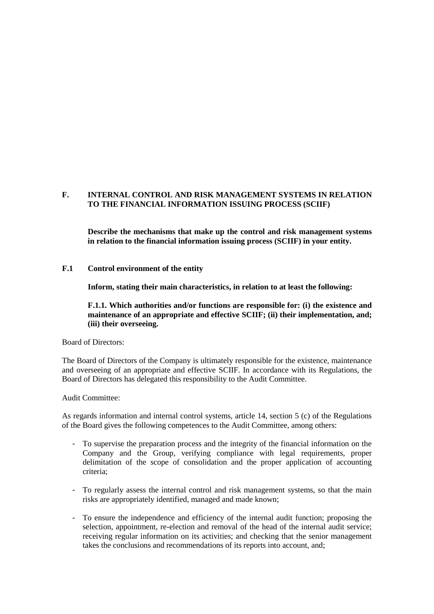### **F. INTERNAL CONTROL AND RISK MANAGEMENT SYSTEMS IN RELATION TO THE FINANCIAL INFORMATION ISSUING PROCESS (SCIIF)**

**Describe the mechanisms that make up the control and risk management systems in relation to the financial information issuing process (SCIIF) in your entity.**

#### **F.1 Control environment of the entity**

**Inform, stating their main characteristics, in relation to at least the following:**

**F.1.1. Which authorities and/or functions are responsible for: (i) the existence and maintenance of an appropriate and effective SCIIF; (ii) their implementation, and; (iii) their overseeing.**

Board of Directors:

The Board of Directors of the Company is ultimately responsible for the existence, maintenance and overseeing of an appropriate and effective SCIIF. In accordance with its Regulations, the Board of Directors has delegated this responsibility to the Audit Committee.

Audit Committee:

As regards information and internal control systems, article 14, section 5 (c) of the Regulations of the Board gives the following competences to the Audit Committee, among others:

- To supervise the preparation process and the integrity of the financial information on the Company and the Group, verifying compliance with legal requirements, proper delimitation of the scope of consolidation and the proper application of accounting criteria;
- To regularly assess the internal control and risk management systems, so that the main risks are appropriately identified, managed and made known;
- To ensure the independence and efficiency of the internal audit function; proposing the selection, appointment, re-election and removal of the head of the internal audit service; receiving regular information on its activities; and checking that the senior management takes the conclusions and recommendations of its reports into account, and;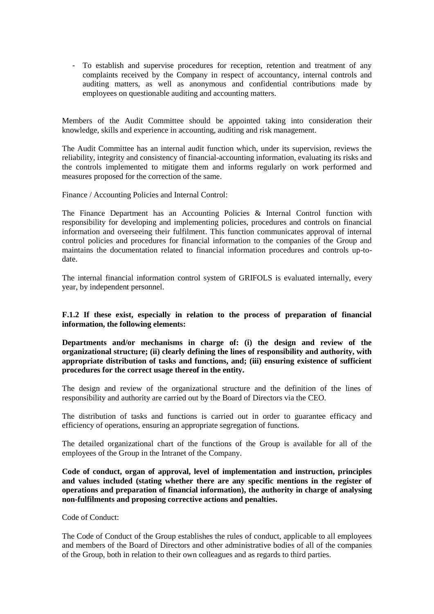- To establish and supervise procedures for reception, retention and treatment of any complaints received by the Company in respect of accountancy, internal controls and auditing matters, as well as anonymous and confidential contributions made by employees on questionable auditing and accounting matters.

Members of the Audit Committee should be appointed taking into consideration their knowledge, skills and experience in accounting, auditing and risk management.

The Audit Committee has an internal audit function which, under its supervision, reviews the reliability, integrity and consistency of financial-accounting information, evaluating its risks and the controls implemented to mitigate them and informs regularly on work performed and measures proposed for the correction of the same.

Finance / Accounting Policies and Internal Control:

The Finance Department has an Accounting Policies & Internal Control function with responsibility for developing and implementing policies, procedures and controls on financial information and overseeing their fulfilment. This function communicates approval of internal control policies and procedures for financial information to the companies of the Group and maintains the documentation related to financial information procedures and controls up-todate.

The internal financial information control system of GRIFOLS is evaluated internally, every year, by independent personnel.

**F.1.2 If these exist, especially in relation to the process of preparation of financial information, the following elements:**

**Departments and/or mechanisms in charge of: (i) the design and review of the organizational structure; (ii) clearly defining the lines of responsibility and authority, with appropriate distribution of tasks and functions, and; (iii) ensuring existence of sufficient procedures for the correct usage thereof in the entity.**

The design and review of the organizational structure and the definition of the lines of responsibility and authority are carried out by the Board of Directors via the CEO.

The distribution of tasks and functions is carried out in order to guarantee efficacy and efficiency of operations, ensuring an appropriate segregation of functions.

The detailed organizational chart of the functions of the Group is available for all of the employees of the Group in the Intranet of the Company.

**Code of conduct, organ of approval, level of implementation and instruction, principles and values included (stating whether there are any specific mentions in the register of operations and preparation of financial information), the authority in charge of analysing non-fulfilments and proposing corrective actions and penalties.**

Code of Conduct:

The Code of Conduct of the Group establishes the rules of conduct, applicable to all employees and members of the Board of Directors and other administrative bodies of all of the companies of the Group, both in relation to their own colleagues and as regards to third parties.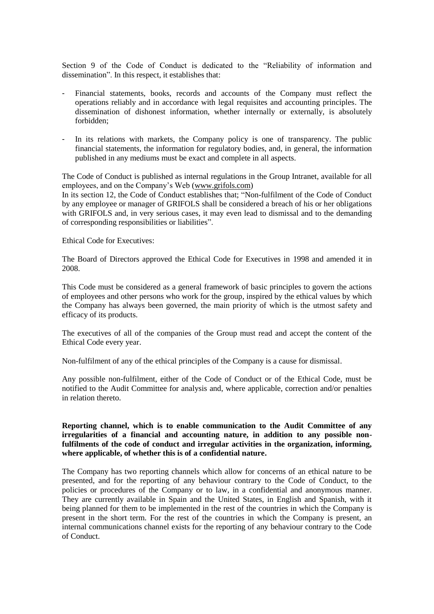Section 9 of the Code of Conduct is dedicated to the "Reliability of information and dissemination". In this respect, it establishes that:

- Financial statements, books, records and accounts of the Company must reflect the operations reliably and in accordance with legal requisites and accounting principles. The dissemination of dishonest information, whether internally or externally, is absolutely forbidden;
- In its relations with markets, the Company policy is one of transparency. The public financial statements, the information for regulatory bodies, and, in general, the information published in any mediums must be exact and complete in all aspects.

The Code of Conduct is published as internal regulations in the Group Intranet, available for all employees, and on the Company's Web (www.grifols.com)

In its section 12, the Code of Conduct establishes that; "Non-fulfilment of the Code of Conduct by any employee or manager of GRIFOLS shall be considered a breach of his or her obligations with GRIFOLS and, in very serious cases, it may even lead to dismissal and to the demanding of corresponding responsibilities or liabilities".

Ethical Code for Executives:

The Board of Directors approved the Ethical Code for Executives in 1998 and amended it in 2008.

This Code must be considered as a general framework of basic principles to govern the actions of employees and other persons who work for the group, inspired by the ethical values by which the Company has always been governed, the main priority of which is the utmost safety and efficacy of its products.

The executives of all of the companies of the Group must read and accept the content of the Ethical Code every year.

Non-fulfilment of any of the ethical principles of the Company is a cause for dismissal.

Any possible non-fulfilment, either of the Code of Conduct or of the Ethical Code, must be notified to the Audit Committee for analysis and, where applicable, correction and/or penalties in relation thereto.

### **Reporting channel, which is to enable communication to the Audit Committee of any irregularities of a financial and accounting nature, in addition to any possible nonfulfilments of the code of conduct and irregular activities in the organization, informing, where applicable, of whether this is of a confidential nature.**

The Company has two reporting channels which allow for concerns of an ethical nature to be presented, and for the reporting of any behaviour contrary to the Code of Conduct, to the policies or procedures of the Company or to law, in a confidential and anonymous manner. They are currently available in Spain and the United States, in English and Spanish, with it being planned for them to be implemented in the rest of the countries in which the Company is present in the short term. For the rest of the countries in which the Company is present, an internal communications channel exists for the reporting of any behaviour contrary to the Code of Conduct.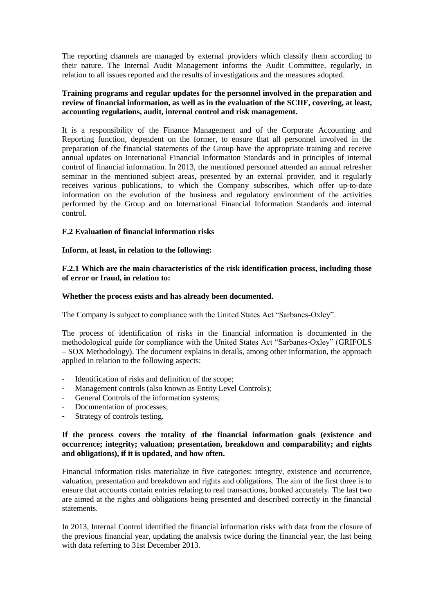The reporting channels are managed by external providers which classify them according to their nature. The Internal Audit Management informs the Audit Committee, regularly, in relation to all issues reported and the results of investigations and the measures adopted.

#### **Training programs and regular updates for the personnel involved in the preparation and review of financial information, as well as in the evaluation of the SCIIF, covering, at least, accounting regulations, audit, internal control and risk management.**

It is a responsibility of the Finance Management and of the Corporate Accounting and Reporting function, dependent on the former, to ensure that all personnel involved in the preparation of the financial statements of the Group have the appropriate training and receive annual updates on International Financial Information Standards and in principles of internal control of financial information. In 2013, the mentioned personnel attended an annual refresher seminar in the mentioned subject areas, presented by an external provider, and it regularly receives various publications, to which the Company subscribes, which offer up-to-date information on the evolution of the business and regulatory environment of the activities performed by the Group and on International Financial Information Standards and internal control.

#### **F.2 Evaluation of financial information risks**

### **Inform, at least, in relation to the following:**

**F.2.1 Which are the main characteristics of the risk identification process, including those of error or fraud, in relation to:**

#### **Whether the process exists and has already been documented.**

The Company is subject to compliance with the United States Act "Sarbanes-Oxley".

The process of identification of risks in the financial information is documented in the methodological guide for compliance with the United States Act "Sarbanes-Oxley" (GRIFOLS – SOX Methodology). The document explains in details, among other information, the approach applied in relation to the following aspects:

- Identification of risks and definition of the scope;
- Management controls (also known as Entity Level Controls);
- General Controls of the information systems;
- Documentation of processes;
- Strategy of controls testing.

### **If the process covers the totality of the financial information goals (existence and occurrence; integrity; valuation; presentation, breakdown and comparability; and rights and obligations), if it is updated, and how often.**

Financial information risks materialize in five categories: integrity, existence and occurrence, valuation, presentation and breakdown and rights and obligations. The aim of the first three is to ensure that accounts contain entries relating to real transactions, booked accurately. The last two are aimed at the rights and obligations being presented and described correctly in the financial statements.

In 2013, Internal Control identified the financial information risks with data from the closure of the previous financial year, updating the analysis twice during the financial year, the last being with data referring to 31st December 2013.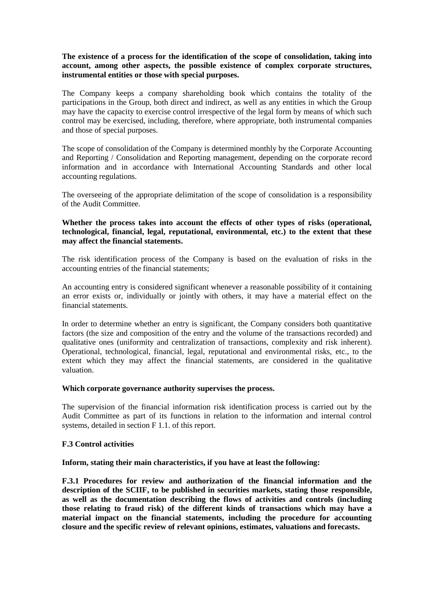#### **The existence of a process for the identification of the scope of consolidation, taking into account, among other aspects, the possible existence of complex corporate structures, instrumental entities or those with special purposes.**

The Company keeps a company shareholding book which contains the totality of the participations in the Group, both direct and indirect, as well as any entities in which the Group may have the capacity to exercise control irrespective of the legal form by means of which such control may be exercised, including, therefore, where appropriate, both instrumental companies and those of special purposes.

The scope of consolidation of the Company is determined monthly by the Corporate Accounting and Reporting / Consolidation and Reporting management, depending on the corporate record information and in accordance with International Accounting Standards and other local accounting regulations.

The overseeing of the appropriate delimitation of the scope of consolidation is a responsibility of the Audit Committee.

### **Whether the process takes into account the effects of other types of risks (operational, technological, financial, legal, reputational, environmental, etc.) to the extent that these may affect the financial statements.**

The risk identification process of the Company is based on the evaluation of risks in the accounting entries of the financial statements;

An accounting entry is considered significant whenever a reasonable possibility of it containing an error exists or, individually or jointly with others, it may have a material effect on the financial statements.

In order to determine whether an entry is significant, the Company considers both quantitative factors (the size and composition of the entry and the volume of the transactions recorded) and qualitative ones (uniformity and centralization of transactions, complexity and risk inherent). Operational, technological, financial, legal, reputational and environmental risks, etc., to the extent which they may affect the financial statements, are considered in the qualitative valuation.

#### **Which corporate governance authority supervises the process.**

The supervision of the financial information risk identification process is carried out by the Audit Committee as part of its functions in relation to the information and internal control systems, detailed in section F 1.1. of this report.

#### **F.3 Control activities**

#### **Inform, stating their main characteristics, if you have at least the following:**

**F.3.1 Procedures for review and authorization of the financial information and the description of the SCIIF, to be published in securities markets, stating those responsible, as well as the documentation describing the flows of activities and controls (including those relating to fraud risk) of the different kinds of transactions which may have a material impact on the financial statements, including the procedure for accounting closure and the specific review of relevant opinions, estimates, valuations and forecasts.**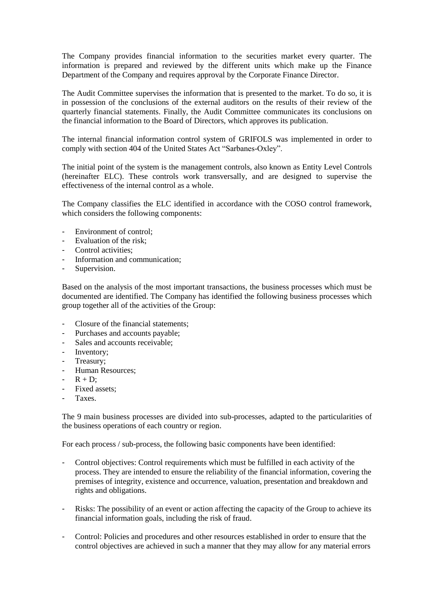The Company provides financial information to the securities market every quarter. The information is prepared and reviewed by the different units which make up the Finance Department of the Company and requires approval by the Corporate Finance Director.

The Audit Committee supervises the information that is presented to the market. To do so, it is in possession of the conclusions of the external auditors on the results of their review of the quarterly financial statements. Finally, the Audit Committee communicates its conclusions on the financial information to the Board of Directors, which approves its publication.

The internal financial information control system of GRIFOLS was implemented in order to comply with section 404 of the United States Act "Sarbanes-Oxley".

The initial point of the system is the management controls, also known as Entity Level Controls (hereinafter ELC). These controls work transversally, and are designed to supervise the effectiveness of the internal control as a whole.

The Company classifies the ELC identified in accordance with the COSO control framework, which considers the following components:

- Environment of control:
- Evaluation of the risk:
- Control activities:
- Information and communication;
- Supervision.

Based on the analysis of the most important transactions, the business processes which must be documented are identified. The Company has identified the following business processes which group together all of the activities of the Group:

- Closure of the financial statements:
- Purchases and accounts payable;
- Sales and accounts receivable:
- Inventory;
- Treasury;
- Human Resources;
- $R + D^2$
- Fixed assets:
- **Taxes**

The 9 main business processes are divided into sub-processes, adapted to the particularities of the business operations of each country or region.

For each process / sub-process, the following basic components have been identified:

- Control objectives: Control requirements which must be fulfilled in each activity of the process. They are intended to ensure the reliability of the financial information, covering the premises of integrity, existence and occurrence, valuation, presentation and breakdown and rights and obligations.
- Risks: The possibility of an event or action affecting the capacity of the Group to achieve its financial information goals, including the risk of fraud.
- Control: Policies and procedures and other resources established in order to ensure that the control objectives are achieved in such a manner that they may allow for any material errors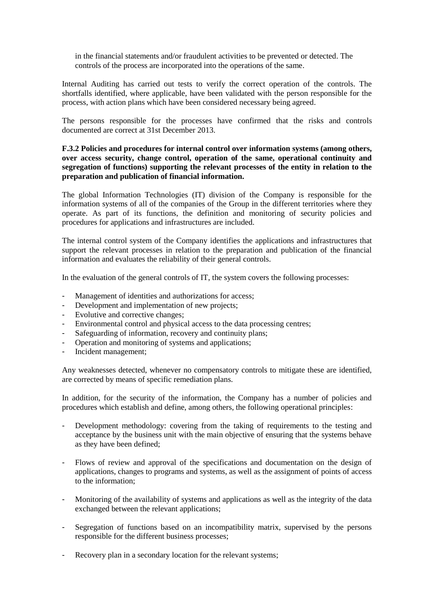in the financial statements and/or fraudulent activities to be prevented or detected. The controls of the process are incorporated into the operations of the same.

Internal Auditing has carried out tests to verify the correct operation of the controls. The shortfalls identified, where applicable, have been validated with the person responsible for the process, with action plans which have been considered necessary being agreed.

The persons responsible for the processes have confirmed that the risks and controls documented are correct at 31st December 2013.

### **F.3.2 Policies and procedures for internal control over information systems (among others, over access security, change control, operation of the same, operational continuity and segregation of functions) supporting the relevant processes of the entity in relation to the preparation and publication of financial information.**

The global Information Technologies (IT) division of the Company is responsible for the information systems of all of the companies of the Group in the different territories where they operate. As part of its functions, the definition and monitoring of security policies and procedures for applications and infrastructures are included.

The internal control system of the Company identifies the applications and infrastructures that support the relevant processes in relation to the preparation and publication of the financial information and evaluates the reliability of their general controls.

In the evaluation of the general controls of IT, the system covers the following processes:

- Management of identities and authorizations for access;
- Development and implementation of new projects;
- Evolutive and corrective changes;
- Environmental control and physical access to the data processing centres;
- Safeguarding of information, recovery and continuity plans;
- Operation and monitoring of systems and applications;
- Incident management;

Any weaknesses detected, whenever no compensatory controls to mitigate these are identified, are corrected by means of specific remediation plans.

In addition, for the security of the information, the Company has a number of policies and procedures which establish and define, among others, the following operational principles:

- Development methodology: covering from the taking of requirements to the testing and acceptance by the business unit with the main objective of ensuring that the systems behave as they have been defined;
- Flows of review and approval of the specifications and documentation on the design of applications, changes to programs and systems, as well as the assignment of points of access to the information;
- Monitoring of the availability of systems and applications as well as the integrity of the data exchanged between the relevant applications;
- Segregation of functions based on an incompatibility matrix, supervised by the persons responsible for the different business processes;
- Recovery plan in a secondary location for the relevant systems;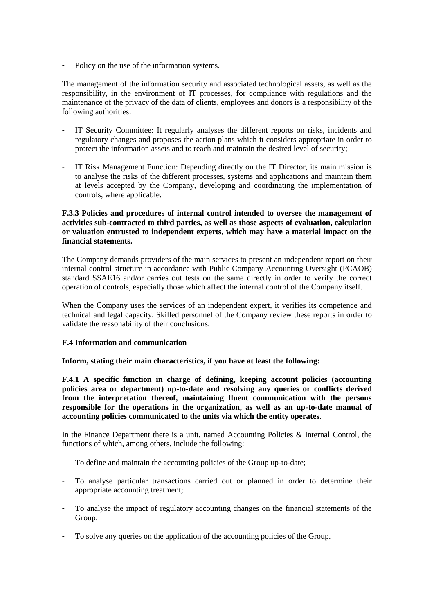Policy on the use of the information systems.

The management of the information security and associated technological assets, as well as the responsibility, in the environment of IT processes, for compliance with regulations and the maintenance of the privacy of the data of clients, employees and donors is a responsibility of the following authorities:

- IT Security Committee: It regularly analyses the different reports on risks, incidents and regulatory changes and proposes the action plans which it considers appropriate in order to protect the information assets and to reach and maintain the desired level of security;
- IT Risk Management Function: Depending directly on the IT Director, its main mission is to analyse the risks of the different processes, systems and applications and maintain them at levels accepted by the Company, developing and coordinating the implementation of controls, where applicable.

### **F.3.3 Policies and procedures of internal control intended to oversee the management of activities sub-contracted to third parties, as well as those aspects of evaluation, calculation or valuation entrusted to independent experts, which may have a material impact on the financial statements.**

The Company demands providers of the main services to present an independent report on their internal control structure in accordance with Public Company Accounting Oversight (PCAOB) standard SSAE16 and/or carries out tests on the same directly in order to verify the correct operation of controls, especially those which affect the internal control of the Company itself.

When the Company uses the services of an independent expert, it verifies its competence and technical and legal capacity. Skilled personnel of the Company review these reports in order to validate the reasonability of their conclusions.

# **F.4 Information and communication**

#### **Inform, stating their main characteristics, if you have at least the following:**

**F.4.1 A specific function in charge of defining, keeping account policies (accounting policies area or department) up-to-date and resolving any queries or conflicts derived from the interpretation thereof, maintaining fluent communication with the persons responsible for the operations in the organization, as well as an up-to-date manual of accounting policies communicated to the units via which the entity operates.**

In the Finance Department there is a unit, named Accounting Policies & Internal Control, the functions of which, among others, include the following:

- To define and maintain the accounting policies of the Group up-to-date;
- To analyse particular transactions carried out or planned in order to determine their appropriate accounting treatment;
- To analyse the impact of regulatory accounting changes on the financial statements of the Group;
- To solve any queries on the application of the accounting policies of the Group.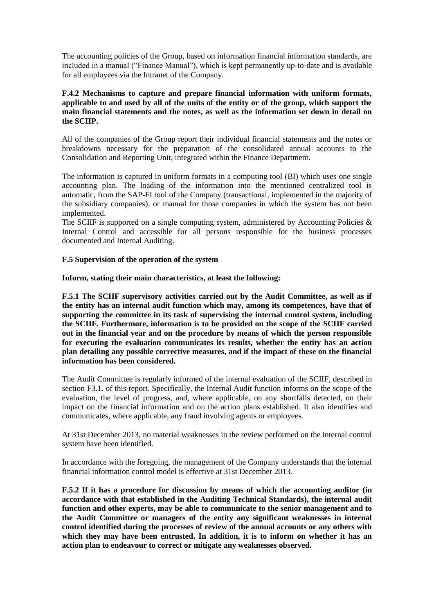The accounting policies of the Group, based on information financial information standards, are included in a manual ("Finance Manual"), which is kept permanently up-to-date and is available for all employees via the Intranet of the Company.

### **F.4.2 Mechanisms to capture and prepare financial information with uniform formats, applicable to and used by all of the units of the entity or of the group, which support the main financial statements and the notes, as well as the information set down in detail on the SCIIP.**

All of the companies of the Group report their individual financial statements and the notes or breakdowns necessary for the preparation of the consolidated annual accounts to the Consolidation and Reporting Unit, integrated within the Finance Department.

The information is captured in uniform formats in a computing tool (BI) which uses one single accounting plan. The loading of the information into the mentioned centralized tool is automatic, from the SAP-FI tool of the Company (transactional, implemented in the majority of the subsidiary companies), or manual for those companies in which the system has not been implemented.

The SCIIF is supported on a single computing system, administered by Accounting Policies  $\&$ Internal Control and accessible for all persons responsible for the business processes documented and Internal Auditing.

#### **F.5 Supervision of the operation of the system**

**Inform, stating their main characteristics, at least the following:**

**F.5.1 The SCIIF supervisory activities carried out by the Audit Committee, as well as if the entity has an internal audit function which may, among its competences, have that of supporting the committee in its task of supervising the internal control system, including the SCIIF. Furthermore, information is to be provided on the scope of the SCIIF carried out in the financial year and on the procedure by means of which the person responsible for executing the evaluation communicates its results, whether the entity has an action plan detailing any possible corrective measures, and if the impact of these on the financial information has been considered.**

The Audit Committee is regularly informed of the internal evaluation of the SCIIF, described in section F3.1. of this report. Specifically, the Internal Audit function informs on the scope of the evaluation, the level of progress, and, where applicable, on any shortfalls detected, on their impact on the financial information and on the action plans established. It also identifies and communicates, where applicable, any fraud involving agents or employees.

At 31st December 2013, no material weaknesses in the review performed on the internal control system have been identified.

In accordance with the foregoing, the management of the Company understands that the internal financial information control model is effective at 31st December 2013.

**F.5.2 If it has a procedure for discussion by means of which the accounting auditor (in accordance with that established in the Auditing Technical Standards), the internal audit function and other experts, may be able to communicate to the senior management and to the Audit Committee or managers of the entity any significant weaknesses in internal control identified during the processes of review of the annual accounts or any others with which they may have been entrusted. In addition, it is to inform on whether it has an action plan to endeavour to correct or mitigate any weaknesses observed.**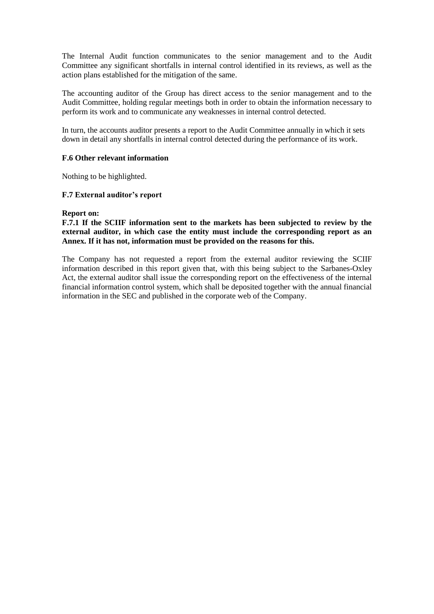The Internal Audit function communicates to the senior management and to the Audit Committee any significant shortfalls in internal control identified in its reviews, as well as the action plans established for the mitigation of the same.

The accounting auditor of the Group has direct access to the senior management and to the Audit Committee, holding regular meetings both in order to obtain the information necessary to perform its work and to communicate any weaknesses in internal control detected.

In turn, the accounts auditor presents a report to the Audit Committee annually in which it sets down in detail any shortfalls in internal control detected during the performance of its work.

#### **F.6 Other relevant information**

Nothing to be highlighted.

#### **F.7 External auditor's report**

#### **Report on:**

#### **F.7.1 If the SCIIF information sent to the markets has been subjected to review by the external auditor, in which case the entity must include the corresponding report as an Annex. If it has not, information must be provided on the reasons for this.**

The Company has not requested a report from the external auditor reviewing the SCIIF information described in this report given that, with this being subject to the Sarbanes-Oxley Act, the external auditor shall issue the corresponding report on the effectiveness of the internal financial information control system, which shall be deposited together with the annual financial information in the SEC and published in the corporate web of the Company.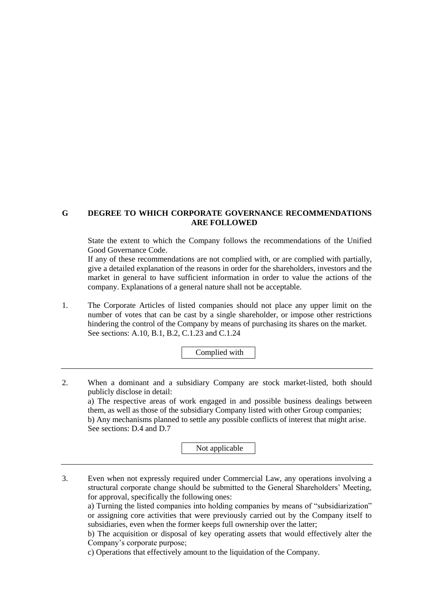### **G DEGREE TO WHICH CORPORATE GOVERNANCE RECOMMENDATIONS ARE FOLLOWED**

State the extent to which the Company follows the recommendations of the Unified Good Governance Code.

If any of these recommendations are not complied with, or are complied with partially, give a detailed explanation of the reasons in order for the shareholders, investors and the market in general to have sufficient information in order to value the actions of the company. Explanations of a general nature shall not be acceptable.

1. The Corporate Articles of listed companies should not place any upper limit on the number of votes that can be cast by a single shareholder, or impose other restrictions hindering the control of the Company by means of purchasing its shares on the market. See sections: A.10, B.1, B.2, C.1.23 and C.1.24

Complied with

2. When a dominant and a subsidiary Company are stock market-listed, both should publicly disclose in detail: a) The respective areas of work engaged in and possible business dealings between them, as well as those of the subsidiary Company listed with other Group companies; b) Any mechanisms planned to settle any possible conflicts of interest that might arise. See sections: D.4 and D.7

Not applicable

3. Even when not expressly required under Commercial Law, any operations involving a structural corporate change should be submitted to the General Shareholders' Meeting, for approval, specifically the following ones:

a) Turning the listed companies into holding companies by means of "subsidiarization" or assigning core activities that were previously carried out by the Company itself to subsidiaries, even when the former keeps full ownership over the latter;

b) The acquisition or disposal of key operating assets that would effectively alter the Company's corporate purpose;

c) Operations that effectively amount to the liquidation of the Company.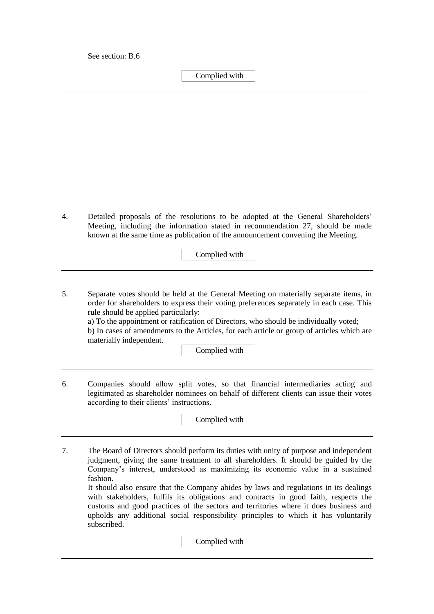See section: B.6

Complied with

4. Detailed proposals of the resolutions to be adopted at the General Shareholders' Meeting, including the information stated in recommendation 27, should be made known at the same time as publication of the announcement convening the Meeting.

Complied with

5. Separate votes should be held at the General Meeting on materially separate items, in order for shareholders to express their voting preferences separately in each case. This rule should be applied particularly:

a) To the appointment or ratification of Directors, who should be individually voted; b) In cases of amendments to the Articles, for each article or group of articles which are materially independent.

Complied with

6. Companies should allow split votes, so that financial intermediaries acting and legitimated as shareholder nominees on behalf of different clients can issue their votes according to their clients' instructions.

Complied with

7. The Board of Directors should perform its duties with unity of purpose and independent judgment, giving the same treatment to all shareholders. It should be guided by the Company's interest, understood as maximizing its economic value in a sustained fashion.

It should also ensure that the Company abides by laws and regulations in its dealings with stakeholders, fulfils its obligations and contracts in good faith, respects the customs and good practices of the sectors and territories where it does business and upholds any additional social responsibility principles to which it has voluntarily subscribed.

Complied with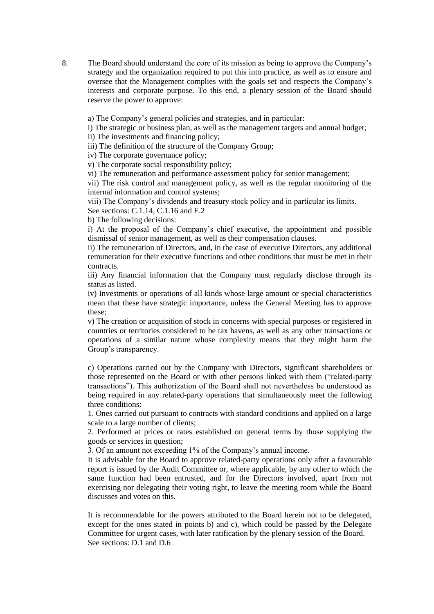8. The Board should understand the core of its mission as being to approve the Company's strategy and the organization required to put this into practice, as well as to ensure and oversee that the Management complies with the goals set and respects the Company's interests and corporate purpose. To this end, a plenary session of the Board should reserve the power to approve:

a) The Company's general policies and strategies, and in particular:

i) The strategic or business plan, as well as the management targets and annual budget;

ii) The investments and financing policy;

iii) The definition of the structure of the Company Group;

iv) The corporate governance policy;

v) The corporate social responsibility policy;

vi) The remuneration and performance assessment policy for senior management;

vii) The risk control and management policy, as well as the regular monitoring of the internal information and control systems;

viii) The Company's dividends and treasury stock policy and in particular its limits.

See sections: C.1.14, C.1.16 and E.2

b) The following decisions:

i) At the proposal of the Company's chief executive, the appointment and possible dismissal of senior management, as well as their compensation clauses.

ii) The remuneration of Directors, and, in the case of executive Directors, any additional remuneration for their executive functions and other conditions that must be met in their contracts.

iii) Any financial information that the Company must regularly disclose through its status as listed.

iv) Investments or operations of all kinds whose large amount or special characteristics mean that these have strategic importance, unless the General Meeting has to approve these;

v) The creation or acquisition of stock in concerns with special purposes or registered in countries or territories considered to be tax havens, as well as any other transactions or operations of a similar nature whose complexity means that they might harm the Group's transparency.

c) Operations carried out by the Company with Directors, significant shareholders or those represented on the Board or with other persons linked with them ("related-party transactions"). This authorization of the Board shall not nevertheless be understood as being required in any related-party operations that simultaneously meet the following three conditions:

1. Ones carried out pursuant to contracts with standard conditions and applied on a large scale to a large number of clients;

2. Performed at prices or rates established on general terms by those supplying the goods or services in question;

3. Of an amount not exceeding 1% of the Company's annual income.

It is advisable for the Board to approve related-party operations only after a favourable report is issued by the Audit Committee or, where applicable, by any other to which the same function had been entrusted, and for the Directors involved, apart from not exercising nor delegating their voting right, to leave the meeting room while the Board discusses and votes on this.

It is recommendable for the powers attributed to the Board herein not to be delegated, except for the ones stated in points b) and c), which could be passed by the Delegate Committee for urgent cases, with later ratification by the plenary session of the Board. See sections: D.1 and D.6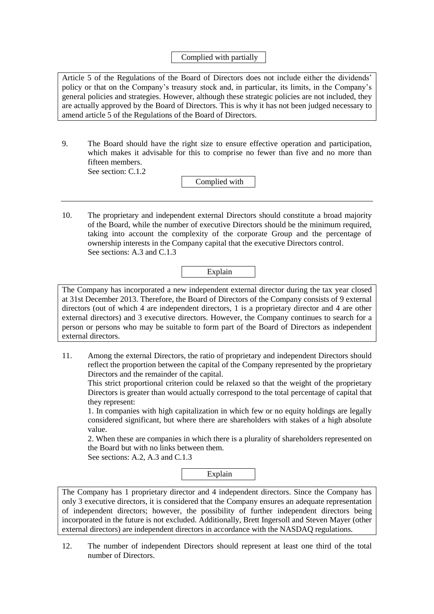## Complied with partially

Article 5 of the Regulations of the Board of Directors does not include either the dividends' policy or that on the Company's treasury stock and, in particular, its limits, in the Company's general policies and strategies. However, although these strategic policies are not included, they are actually approved by the Board of Directors. This is why it has not been judged necessary to amend article 5 of the Regulations of the Board of Directors.

9. The Board should have the right size to ensure effective operation and participation, which makes it advisable for this to comprise no fewer than five and no more than fifteen members. See section: C.1.2

Complied with

10. The proprietary and independent external Directors should constitute a broad majority of the Board, while the number of executive Directors should be the minimum required, taking into account the complexity of the corporate Group and the percentage of ownership interests in the Company capital that the executive Directors control. See sections: A.3 and C.1.3



The Company has incorporated a new independent external director during the tax year closed at 31st December 2013. Therefore, the Board of Directors of the Company consists of 9 external directors (out of which 4 are independent directors, 1 is a proprietary director and 4 are other external directors) and 3 executive directors. However, the Company continues to search for a person or persons who may be suitable to form part of the Board of Directors as independent external directors.

11. Among the external Directors, the ratio of proprietary and independent Directors should reflect the proportion between the capital of the Company represented by the proprietary Directors and the remainder of the capital.

This strict proportional criterion could be relaxed so that the weight of the proprietary Directors is greater than would actually correspond to the total percentage of capital that they represent:

1. In companies with high capitalization in which few or no equity holdings are legally considered significant, but where there are shareholders with stakes of a high absolute value.

2. When these are companies in which there is a plurality of shareholders represented on the Board but with no links between them.

See sections: A.2, A.3 and C.1.3

Explain

The Company has 1 proprietary director and 4 independent directors. Since the Company has only 3 executive directors, it is considered that the Company ensures an adequate representation of independent directors; however, the possibility of further independent directors being incorporated in the future is not excluded. Additionally, Brett Ingersoll and Steven Mayer (other external directors) are independent directors in accordance with the NASDAQ regulations.

12. The number of independent Directors should represent at least one third of the total number of Directors.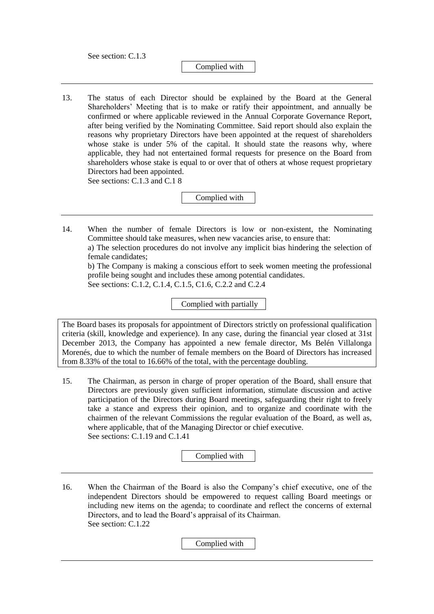See section: C.1.3

#### Complied with

13. The status of each Director should be explained by the Board at the General Shareholders' Meeting that is to make or ratify their appointment, and annually be confirmed or where applicable reviewed in the Annual Corporate Governance Report, after being verified by the Nominating Committee. Said report should also explain the reasons why proprietary Directors have been appointed at the request of shareholders whose stake is under 5% of the capital. It should state the reasons why, where applicable, they had not entertained formal requests for presence on the Board from shareholders whose stake is equal to or over that of others at whose request proprietary Directors had been appointed.

See sections: C.1.3 and C.1 8

Complied with

14. When the number of female Directors is low or non-existent, the Nominating Committee should take measures, when new vacancies arise, to ensure that: a) The selection procedures do not involve any implicit bias hindering the selection of female candidates;

b) The Company is making a conscious effort to seek women meeting the professional profile being sought and includes these among potential candidates. See sections: C.1.2, C.1.4, C.1.5, C1.6, C.2.2 and C.2.4

Complied with partially

The Board bases its proposals for appointment of Directors strictly on professional qualification criteria (skill, knowledge and experience). In any case, during the financial year closed at 31st December 2013, the Company has appointed a new female director, Ms Belén Villalonga Morenés, due to which the number of female members on the Board of Directors has increased from 8.33% of the total to 16.66% of the total, with the percentage doubling.

15. The Chairman, as person in charge of proper operation of the Board, shall ensure that Directors are previously given sufficient information, stimulate discussion and active participation of the Directors during Board meetings, safeguarding their right to freely take a stance and express their opinion, and to organize and coordinate with the chairmen of the relevant Commissions the regular evaluation of the Board, as well as, where applicable, that of the Managing Director or chief executive. See sections: C.1.19 and C.1.41

Complied with

16. When the Chairman of the Board is also the Company's chief executive, one of the independent Directors should be empowered to request calling Board meetings or including new items on the agenda; to coordinate and reflect the concerns of external Directors, and to lead the Board's appraisal of its Chairman. See section: C.1.22

Complied with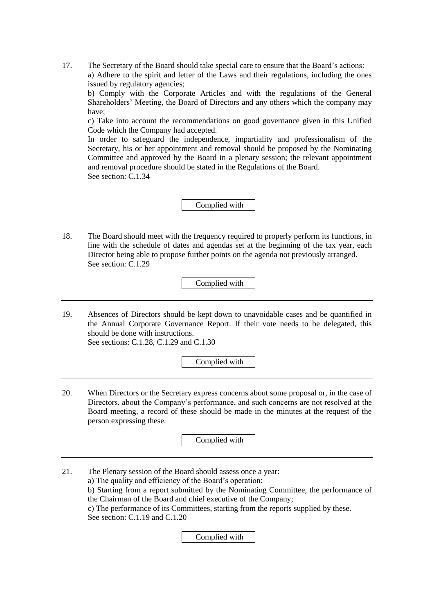17. The Secretary of the Board should take special care to ensure that the Board's actions: a) Adhere to the spirit and letter of the Laws and their regulations, including the ones issued by regulatory agencies;

b) Comply with the Corporate Articles and with the regulations of the General Shareholders' Meeting, the Board of Directors and any others which the company may have;

c) Take into account the recommendations on good governance given in this Unified Code which the Company had accepted.

In order to safeguard the independence, impartiality and professionalism of the Secretary, his or her appointment and removal should be proposed by the Nominating Committee and approved by the Board in a plenary session; the relevant appointment and removal procedure should be stated in the Regulations of the Board. See section: C.1.34

Complied with

18. The Board should meet with the frequency required to properly perform its functions, in line with the schedule of dates and agendas set at the beginning of the tax year, each Director being able to propose further points on the agenda not previously arranged. See section: C.1.29

Complied with

19. Absences of Directors should be kept down to unavoidable cases and be quantified in the Annual Corporate Governance Report. If their vote needs to be delegated, this should be done with instructions. See sections: C.1.28, C.1.29 and C.1.30

Complied with

20. When Directors or the Secretary express concerns about some proposal or, in the case of Directors, about the Company's performance, and such concerns are not resolved at the Board meeting, a record of these should be made in the minutes at the request of the person expressing these.

Complied with

21. The Plenary session of the Board should assess once a year: a) The quality and efficiency of the Board's operation; b) Starting from a report submitted by the Nominating Committee, the performance of the Chairman of the Board and chief executive of the Company; c) The performance of its Committees, starting from the reports supplied by these. See section: C.1.19 and C.1.20

Complied with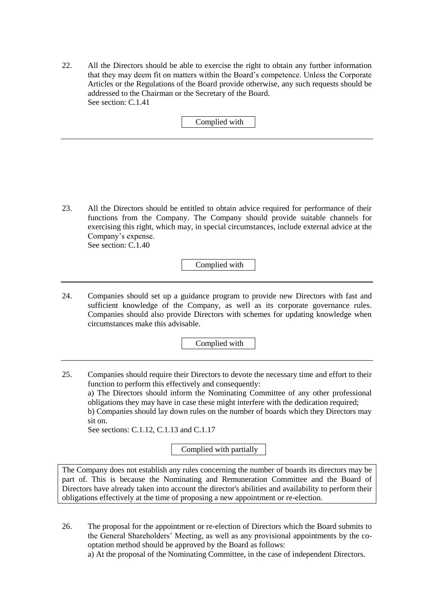22. All the Directors should be able to exercise the right to obtain any further information that they may deem fit on matters within the Board's competence. Unless the Corporate Articles or the Regulations of the Board provide otherwise, any such requests should be addressed to the Chairman or the Secretary of the Board. See section: C.1.41

Complied with

23. All the Directors should be entitled to obtain advice required for performance of their functions from the Company. The Company should provide suitable channels for exercising this right, which may, in special circumstances, include external advice at the Company's expense. See section: C.1.40

Complied with

24. Companies should set up a guidance program to provide new Directors with fast and sufficient knowledge of the Company, as well as its corporate governance rules. Companies should also provide Directors with schemes for updating knowledge when circumstances make this advisable.

Complied with

25. Companies should require their Directors to devote the necessary time and effort to their function to perform this effectively and consequently: a) The Directors should inform the Nominating Committee of any other professional obligations they may have in case these might interfere with the dedication required;

b) Companies should lay down rules on the number of boards which they Directors may sit on.

See sections: C.1.12, C.1.13 and C.1.17

Complied with partially

The Company does not establish any rules concerning the number of boards its directors may be part of. This is because the Nominating and Remuneration Committee and the Board of Directors have already taken into account the director's abilities and availability to perform their obligations effectively at the time of proposing a new appointment or re-election.

26. The proposal for the appointment or re-election of Directors which the Board submits to the General Shareholders' Meeting, as well as any provisional appointments by the cooptation method should be approved by the Board as follows:

a) At the proposal of the Nominating Committee, in the case of independent Directors.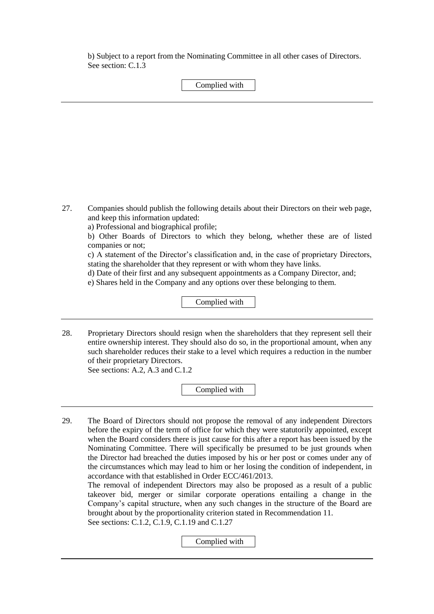b) Subject to a report from the Nominating Committee in all other cases of Directors. See section: C.1.3

### Complied with

27. Companies should publish the following details about their Directors on their web page, and keep this information updated:

a) Professional and biographical profile;

b) Other Boards of Directors to which they belong, whether these are of listed companies or not;

c) A statement of the Director's classification and, in the case of proprietary Directors, stating the shareholder that they represent or with whom they have links.

d) Date of their first and any subsequent appointments as a Company Director, and;

e) Shares held in the Company and any options over these belonging to them.

Complied with

28. Proprietary Directors should resign when the shareholders that they represent sell their entire ownership interest. They should also do so, in the proportional amount, when any such shareholder reduces their stake to a level which requires a reduction in the number of their proprietary Directors. See sections: A.2, A.3 and C.1.2

Complied with

29. The Board of Directors should not propose the removal of any independent Directors before the expiry of the term of office for which they were statutorily appointed, except when the Board considers there is just cause for this after a report has been issued by the Nominating Committee. There will specifically be presumed to be just grounds when the Director had breached the duties imposed by his or her post or comes under any of the circumstances which may lead to him or her losing the condition of independent, in accordance with that established in Order ECC/461/2013.

The removal of independent Directors may also be proposed as a result of a public takeover bid, merger or similar corporate operations entailing a change in the Company's capital structure, when any such changes in the structure of the Board are brought about by the proportionality criterion stated in Recommendation 11. See sections: C.1.2, C.1.9, C.1.19 and C.1.27

Complied with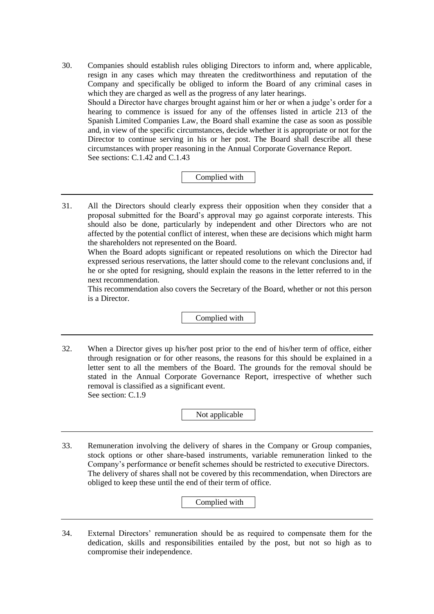30. Companies should establish rules obliging Directors to inform and, where applicable, resign in any cases which may threaten the creditworthiness and reputation of the Company and specifically be obliged to inform the Board of any criminal cases in which they are charged as well as the progress of any later hearings. Should a Director have charges brought against him or her or when a judge's order for a hearing to commence is issued for any of the offenses listed in article 213 of the Spanish Limited Companies Law, the Board shall examine the case as soon as possible and, in view of the specific circumstances, decide whether it is appropriate or not for the Director to continue serving in his or her post. The Board shall describe all these circumstances with proper reasoning in the Annual Corporate Governance Report. See sections: C.1.42 and C.1.43

# Complied with

31. All the Directors should clearly express their opposition when they consider that a proposal submitted for the Board's approval may go against corporate interests. This should also be done, particularly by independent and other Directors who are not affected by the potential conflict of interest, when these are decisions which might harm the shareholders not represented on the Board.

When the Board adopts significant or repeated resolutions on which the Director had expressed serious reservations, the latter should come to the relevant conclusions and, if he or she opted for resigning, should explain the reasons in the letter referred to in the next recommendation.

This recommendation also covers the Secretary of the Board, whether or not this person is a Director.

Complied with

32. When a Director gives up his/her post prior to the end of his/her term of office, either through resignation or for other reasons, the reasons for this should be explained in a letter sent to all the members of the Board. The grounds for the removal should be stated in the Annual Corporate Governance Report, irrespective of whether such removal is classified as a significant event. See section: C.1.9

Not applicable

33. Remuneration involving the delivery of shares in the Company or Group companies, stock options or other share-based instruments, variable remuneration linked to the Company's performance or benefit schemes should be restricted to executive Directors. The delivery of shares shall not be covered by this recommendation, when Directors are obliged to keep these until the end of their term of office.

Complied with

34. External Directors' remuneration should be as required to compensate them for the dedication, skills and responsibilities entailed by the post, but not so high as to compromise their independence.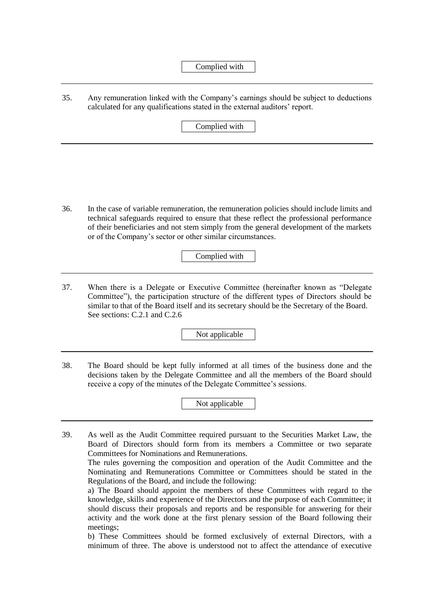35. Any remuneration linked with the Company's earnings should be subject to deductions calculated for any qualifications stated in the external auditors' report.

Complied with

36. In the case of variable remuneration, the remuneration policies should include limits and technical safeguards required to ensure that these reflect the professional performance of their beneficiaries and not stem simply from the general development of the markets or of the Company's sector or other similar circumstances.

Complied with

37. When there is a Delegate or Executive Committee (hereinafter known as "Delegate Committee"), the participation structure of the different types of Directors should be similar to that of the Board itself and its secretary should be the Secretary of the Board. See sections: C.2.1 and C.2.6

Not applicable

38. The Board should be kept fully informed at all times of the business done and the decisions taken by the Delegate Committee and all the members of the Board should receive a copy of the minutes of the Delegate Committee's sessions.

Not applicable

39. As well as the Audit Committee required pursuant to the Securities Market Law, the Board of Directors should form from its members a Committee or two separate Committees for Nominations and Remunerations.

The rules governing the composition and operation of the Audit Committee and the Nominating and Remunerations Committee or Committees should be stated in the Regulations of the Board, and include the following:

a) The Board should appoint the members of these Committees with regard to the knowledge, skills and experience of the Directors and the purpose of each Committee; it should discuss their proposals and reports and be responsible for answering for their activity and the work done at the first plenary session of the Board following their meetings;

b) These Committees should be formed exclusively of external Directors, with a minimum of three. The above is understood not to affect the attendance of executive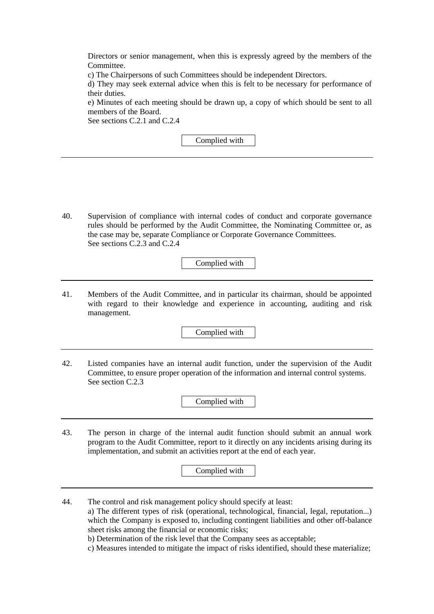Directors or senior management, when this is expressly agreed by the members of the Committee.

c) The Chairpersons of such Committees should be independent Directors.

d) They may seek external advice when this is felt to be necessary for performance of their duties.

e) Minutes of each meeting should be drawn up, a copy of which should be sent to all members of the Board.

See sections C.2.1 and C.2.4

Complied with

40. Supervision of compliance with internal codes of conduct and corporate governance rules should be performed by the Audit Committee, the Nominating Committee or, as the case may be, separate Compliance or Corporate Governance Committees. See sections C.2.3 and C.2.4

Complied with

41. Members of the Audit Committee, and in particular its chairman, should be appointed with regard to their knowledge and experience in accounting, auditing and risk management.

Complied with

42. Listed companies have an internal audit function, under the supervision of the Audit Committee, to ensure proper operation of the information and internal control systems. See section C.2.3

Complied with

43. The person in charge of the internal audit function should submit an annual work program to the Audit Committee, report to it directly on any incidents arising during its implementation, and submit an activities report at the end of each year.

Complied with

- 44. The control and risk management policy should specify at least:
	- a) The different types of risk (operational, technological, financial, legal, reputation...) which the Company is exposed to, including contingent liabilities and other off-balance sheet risks among the financial or economic risks;
	- b) Determination of the risk level that the Company sees as acceptable;
	- c) Measures intended to mitigate the impact of risks identified, should these materialize;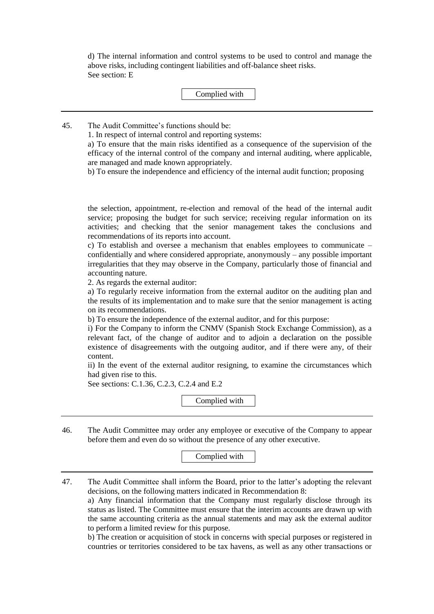d) The internal information and control systems to be used to control and manage the above risks, including contingent liabilities and off-balance sheet risks. See section: E

#### Complied with

45. The Audit Committee's functions should be:

1. In respect of internal control and reporting systems:

a) To ensure that the main risks identified as a consequence of the supervision of the efficacy of the internal control of the company and internal auditing, where applicable, are managed and made known appropriately.

b) To ensure the independence and efficiency of the internal audit function; proposing

the selection, appointment, re-election and removal of the head of the internal audit service; proposing the budget for such service; receiving regular information on its activities; and checking that the senior management takes the conclusions and recommendations of its reports into account.

c) To establish and oversee a mechanism that enables employees to communicate – confidentially and where considered appropriate, anonymously – any possible important irregularities that they may observe in the Company, particularly those of financial and accounting nature.

2. As regards the external auditor:

a) To regularly receive information from the external auditor on the auditing plan and the results of its implementation and to make sure that the senior management is acting on its recommendations.

b) To ensure the independence of the external auditor, and for this purpose:

i) For the Company to inform the CNMV (Spanish Stock Exchange Commission), as a relevant fact, of the change of auditor and to adjoin a declaration on the possible existence of disagreements with the outgoing auditor, and if there were any, of their content.

ii) In the event of the external auditor resigning, to examine the circumstances which had given rise to this.

See sections: C.1.36, C.2.3, C.2.4 and E.2

Complied with

46. The Audit Committee may order any employee or executive of the Company to appear before them and even do so without the presence of any other executive.

Complied with

47. The Audit Committee shall inform the Board, prior to the latter's adopting the relevant decisions, on the following matters indicated in Recommendation 8:

a) Any financial information that the Company must regularly disclose through its status as listed. The Committee must ensure that the interim accounts are drawn up with the same accounting criteria as the annual statements and may ask the external auditor to perform a limited review for this purpose.

b) The creation or acquisition of stock in concerns with special purposes or registered in countries or territories considered to be tax havens, as well as any other transactions or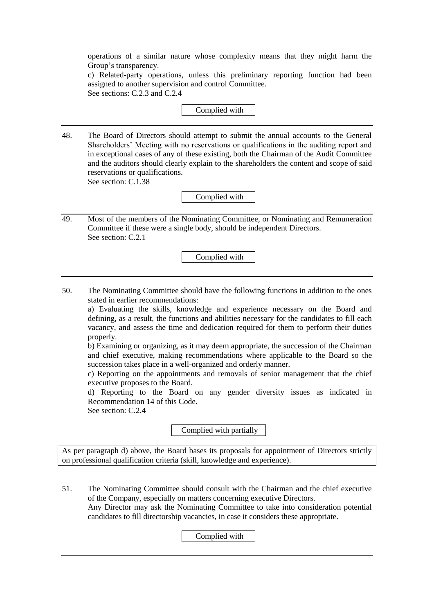operations of a similar nature whose complexity means that they might harm the Group's transparency.

c) Related-party operations, unless this preliminary reporting function had been assigned to another supervision and control Committee. See sections: C.2.3 and C.2.4

#### Complied with

48. The Board of Directors should attempt to submit the annual accounts to the General Shareholders' Meeting with no reservations or qualifications in the auditing report and in exceptional cases of any of these existing, both the Chairman of the Audit Committee and the auditors should clearly explain to the shareholders the content and scope of said reservations or qualifications.

See section: C.1.38

Complied with

49. Most of the members of the Nominating Committee, or Nominating and Remuneration Committee if these were a single body, should be independent Directors. See section: C.2.1

Complied with

50. The Nominating Committee should have the following functions in addition to the ones stated in earlier recommendations:

a) Evaluating the skills, knowledge and experience necessary on the Board and defining, as a result, the functions and abilities necessary for the candidates to fill each vacancy, and assess the time and dedication required for them to perform their duties properly.

b) Examining or organizing, as it may deem appropriate, the succession of the Chairman and chief executive, making recommendations where applicable to the Board so the succession takes place in a well-organized and orderly manner.

c) Reporting on the appointments and removals of senior management that the chief executive proposes to the Board.

d) Reporting to the Board on any gender diversity issues as indicated in Recommendation 14 of this Code.

See section: C.2.4

Complied with partially

As per paragraph d) above, the Board bases its proposals for appointment of Directors strictly on professional qualification criteria (skill, knowledge and experience).

51. The Nominating Committee should consult with the Chairman and the chief executive of the Company, especially on matters concerning executive Directors. Any Director may ask the Nominating Committee to take into consideration potential candidates to fill directorship vacancies, in case it considers these appropriate.

Complied with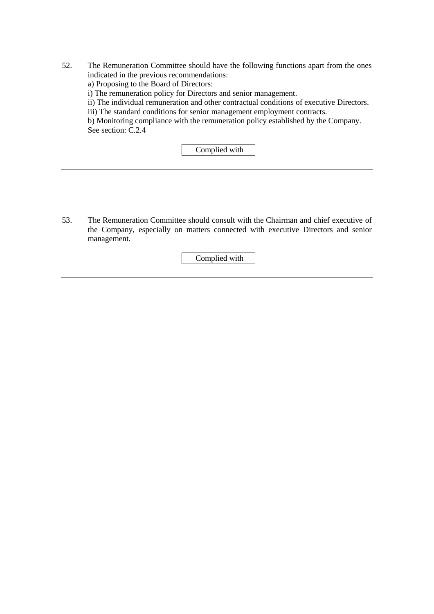- 52. The Remuneration Committee should have the following functions apart from the ones indicated in the previous recommendations:
	- a) Proposing to the Board of Directors:
	- i) The remuneration policy for Directors and senior management.
	- ii) The individual remuneration and other contractual conditions of executive Directors.
	- iii) The standard conditions for senior management employment contracts.

b) Monitoring compliance with the remuneration policy established by the Company. See section: C.2.4

Complied with

53. The Remuneration Committee should consult with the Chairman and chief executive of the Company, especially on matters connected with executive Directors and senior management.

Complied with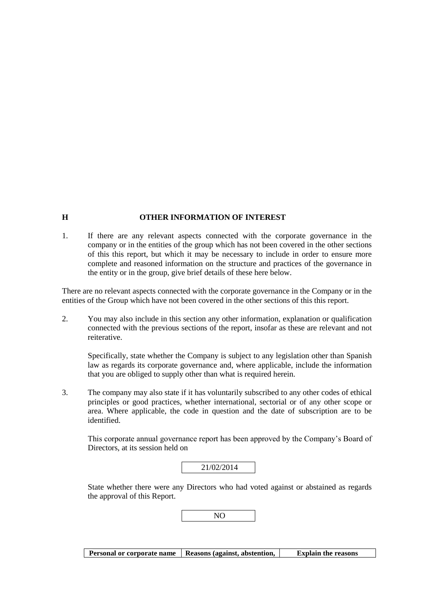#### **H OTHER INFORMATION OF INTEREST**

1. If there are any relevant aspects connected with the corporate governance in the company or in the entities of the group which has not been covered in the other sections of this this report, but which it may be necessary to include in order to ensure more complete and reasoned information on the structure and practices of the governance in the entity or in the group, give brief details of these here below.

There are no relevant aspects connected with the corporate governance in the Company or in the entities of the Group which have not been covered in the other sections of this this report.

2. You may also include in this section any other information, explanation or qualification connected with the previous sections of the report, insofar as these are relevant and not reiterative.

Specifically, state whether the Company is subject to any legislation other than Spanish law as regards its corporate governance and, where applicable, include the information that you are obliged to supply other than what is required herein.

3. The company may also state if it has voluntarily subscribed to any other codes of ethical principles or good practices, whether international, sectorial or of any other scope or area. Where applicable, the code in question and the date of subscription are to be identified.

This corporate annual governance report has been approved by the Company's Board of Directors, at its session held on

State whether there were any Directors who had voted against or abstained as regards the approval of this Report.



**Personal or corporate name Reasons (against, abstention, Explain the reasons**